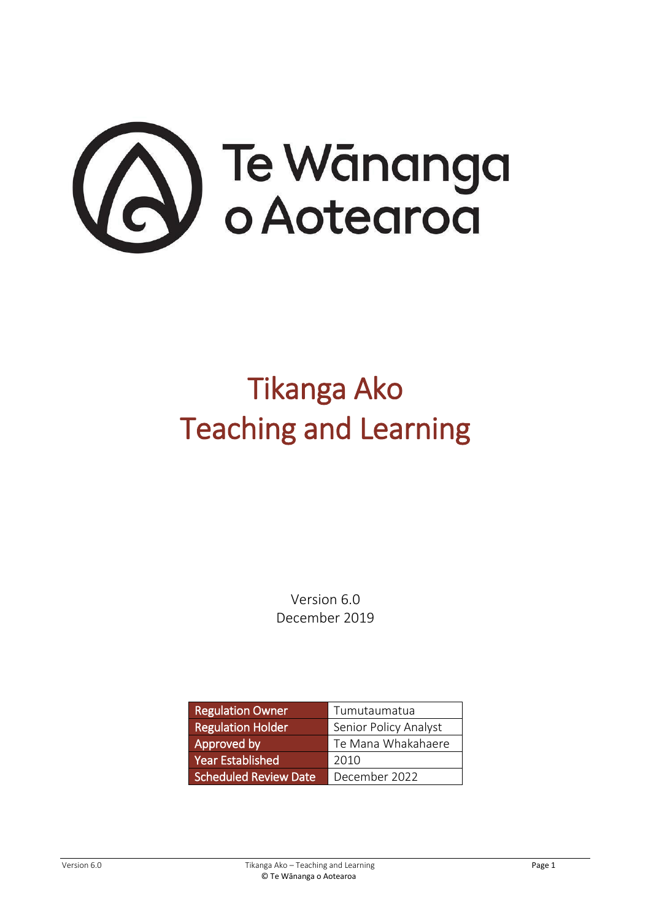

# Tikanga Ako Teaching and Learning

Version 6.0 December 2019

| <b>Regulation Owner</b>      | Tumutaumatua          |  |
|------------------------------|-----------------------|--|
| <b>Regulation Holder</b>     | Senior Policy Analyst |  |
| Approved by                  | Te Mana Whakahaere    |  |
| <b>Year Established</b>      | 2010                  |  |
| <b>Scheduled Review Date</b> | December 2022         |  |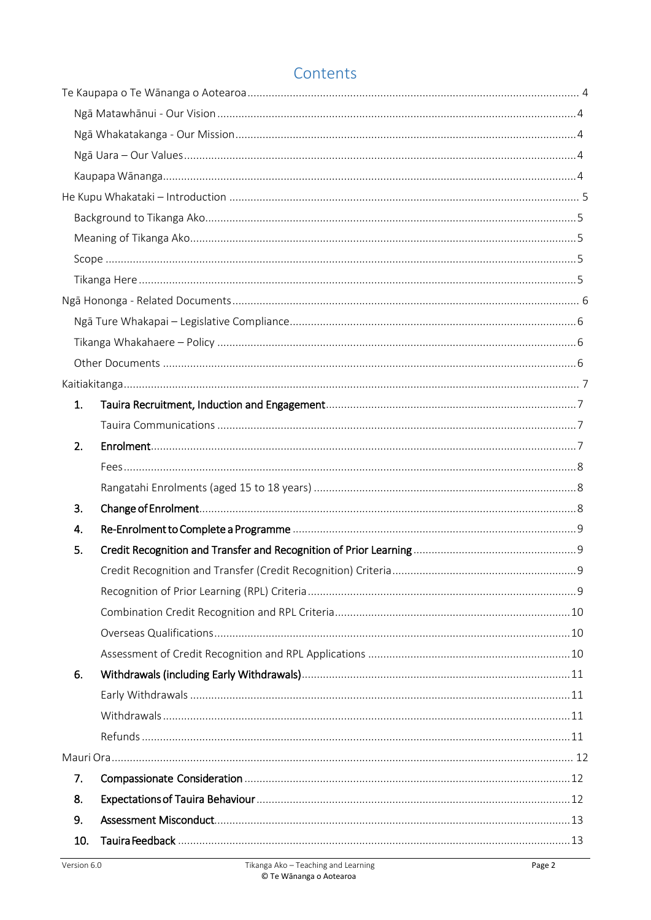### Contents

| 1.  |  |
|-----|--|
|     |  |
| 2.  |  |
|     |  |
|     |  |
| 3.  |  |
| 4.  |  |
| 5.  |  |
|     |  |
|     |  |
|     |  |
|     |  |
|     |  |
| 6.  |  |
|     |  |
|     |  |
|     |  |
|     |  |
| 7.  |  |
| 8.  |  |
| 9.  |  |
| 10. |  |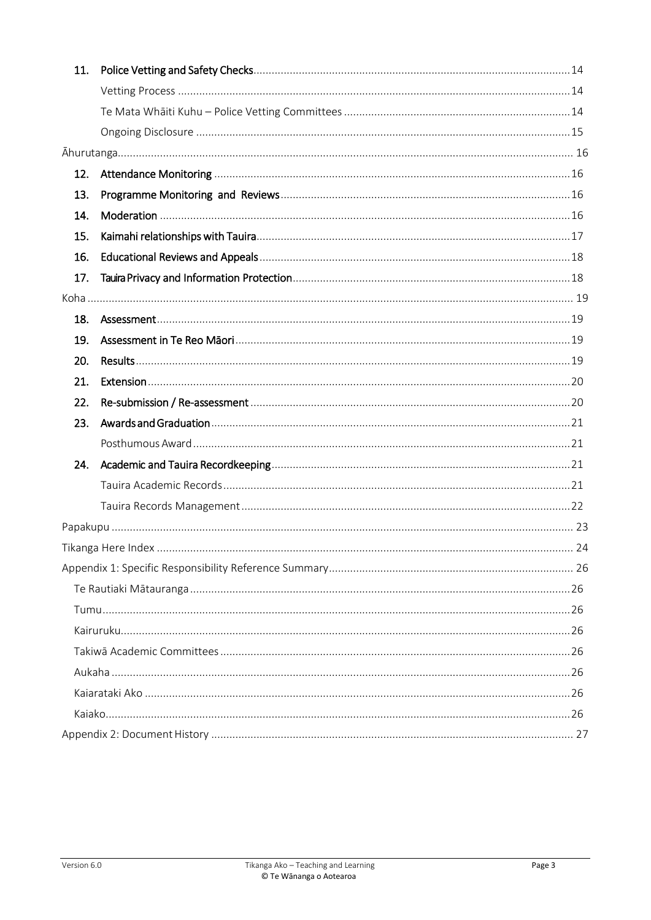| 11. |  |  |  |  |
|-----|--|--|--|--|
|     |  |  |  |  |
|     |  |  |  |  |
|     |  |  |  |  |
|     |  |  |  |  |
| 12. |  |  |  |  |
| 13. |  |  |  |  |
| 14. |  |  |  |  |
| 15. |  |  |  |  |
| 16. |  |  |  |  |
| 17. |  |  |  |  |
|     |  |  |  |  |
| 18. |  |  |  |  |
| 19. |  |  |  |  |
| 20. |  |  |  |  |
| 21. |  |  |  |  |
| 22. |  |  |  |  |
| 23. |  |  |  |  |
|     |  |  |  |  |
| 24. |  |  |  |  |
|     |  |  |  |  |
|     |  |  |  |  |
|     |  |  |  |  |
|     |  |  |  |  |
|     |  |  |  |  |
|     |  |  |  |  |
|     |  |  |  |  |
|     |  |  |  |  |
|     |  |  |  |  |
|     |  |  |  |  |
|     |  |  |  |  |
|     |  |  |  |  |
|     |  |  |  |  |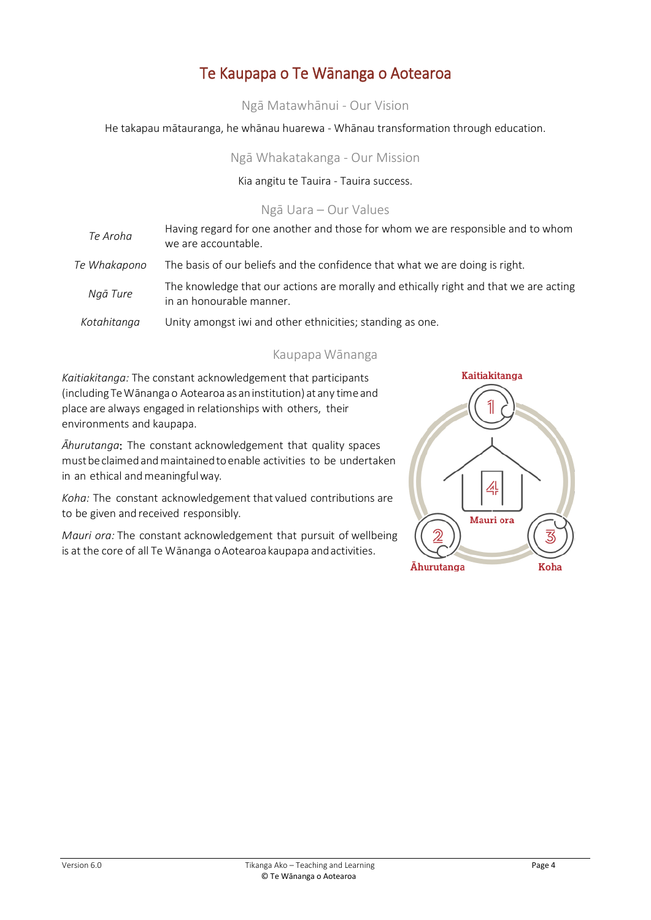### Te Kaupapa o Te Wānanga o Aotearoa

Ngā Matawhānui - Our Vision

<span id="page-3-2"></span><span id="page-3-1"></span><span id="page-3-0"></span>He takapau mātauranga, he whānau huarewa - Whānau transformation through education.

Ngā Whakatakanga - Our Mission

Kia angitu te Tauira - Tauira success.

#### Ngā Uara – Our Values

<span id="page-3-3"></span>

| Te Aroha     | Having regard for one another and those for whom we are responsible and to whom<br>we are accountable.            |
|--------------|-------------------------------------------------------------------------------------------------------------------|
| Te Whakapono | The basis of our beliefs and the confidence that what we are doing is right.                                      |
| Ngā Ture     | The knowledge that our actions are morally and ethically right and that we are acting<br>in an honourable manner. |
| Kotahitanga  | Unity amongst iwi and other ethnicities; standing as one.                                                         |

#### Kaupapa Wānanga

<span id="page-3-4"></span>*Kaitiakitanga:* The constant acknowledgement that participants (includingTeWānangao Aotearoa as aninstitution) at any timeand place are always engaged in relationships with others, their environments and kaupapa.

*Āhurutanga*: The constant acknowledgement that quality spaces mustbeclaimedandmaintainedtoenable activities to be undertaken in an ethical and meaningful way.

*Koha:* The constant acknowledgement that valued contributions are to be given and received responsibly.

*Mauri ora:* The constant acknowledgement that pursuit of wellbeing is at the core of all Te Wānanga o Aotearoa kaupapa and activities.

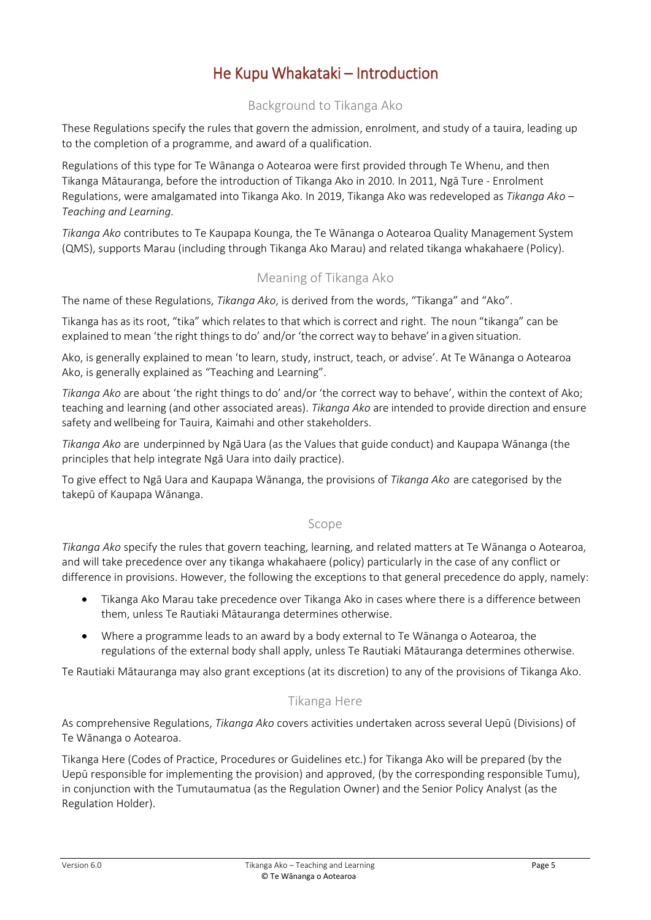### He Kupu Whakataki – Introduction

#### Background to Tikanga Ako

<span id="page-4-1"></span><span id="page-4-0"></span>These Regulations specify the rules that govern the admission, enrolment, and study of a tauira, leading up to the completion of a programme, and award of a qualification.

Regulations of this type for Te Wānanga o Aotearoa were first provided through Te Whenu, and then Tikanga Mātauranga, before the introduction of Tikanga Ako in 2010. In 2011, Ngā Ture - Enrolment Regulations, were amalgamated into Tikanga Ako. In 2019, Tikanga Ako was redeveloped as *Tikanga Ako – Teaching and Learning.*

*Tikanga Ako* contributes to Te Kaupapa Kounga, the Te Wānanga o Aotearoa Quality Management System (QMS), supports Marau (including through Tikanga Ako Marau) and related tikanga whakahaere (Policy).

#### Meaning of Tikanga Ako

<span id="page-4-2"></span>The name of these Regulations, *Tikanga Ako*, is derived from the words, "Tikanga" and "Ako".

Tikanga has as its root, "tika" which relatesto that which is correct and right. The noun "tikanga" can be explained to mean 'the right things to do' and/or 'the correct way to behave' in a given situation.

Ako, is generally explained to mean 'to learn, study, instruct, teach, or advise'. At Te Wānanga o Aotearoa Ako, is generally explained as "Teaching and Learning".

*Tikanga Ako* are about 'the right things to do' and/or 'the correct way to behave', within the context of Ako; teaching and learning (and other associated areas). *Tikanga Ako* are intended to provide direction and ensure safety and wellbeing for Tauira, Kaimahi and other stakeholders.

*Tikanga Ako* are underpinned by NgāUara (as the Values that guide conduct) and Kaupapa Wānanga (the principles that help integrate Ngā Uara into daily practice).

To give effect to Ngā Uara and Kaupapa Wānanga, the provisions of *Tikanga Ako* are categorised by the takepū of Kaupapa Wānanga.

#### Scope

<span id="page-4-3"></span>*Tikanga Ako* specify the rules that govern teaching, learning, and related matters at Te Wānanga o Aotearoa, and will take precedence over any tikanga whakahaere (policy) particularly in the case of any conflict or difference in provisions. However, the following the exceptions to that general precedence do apply, namely:

- Tikanga Ako Marau take precedence over Tikanga Ako in cases where there is a difference between them, unless Te Rautiaki Mātauranga determines otherwise.
- Where a programme leads to an award by a body external to Te Wānanga o Aotearoa, the regulations of the external body shall apply, unless Te Rautiaki Mātauranga determines otherwise.

<span id="page-4-4"></span>Te Rautiaki Mātauranga may also grant exceptions (at its discretion) to any of the provisions of Tikanga Ako.

#### Tikanga Here

As comprehensive Regulations, *Tikanga Ako* covers activities undertaken across several Uepū (Divisions) of Te Wānanga o Aotearoa.

Tikanga Here (Codes of Practice, Procedures or Guidelines etc.) for Tikanga Ako will be prepared (by the Uepū responsible for implementing the provision) and approved, (by the corresponding responsible Tumu), in conjunction with the Tumutaumatua (as the Regulation Owner) and the Senior Policy Analyst (as the Regulation Holder).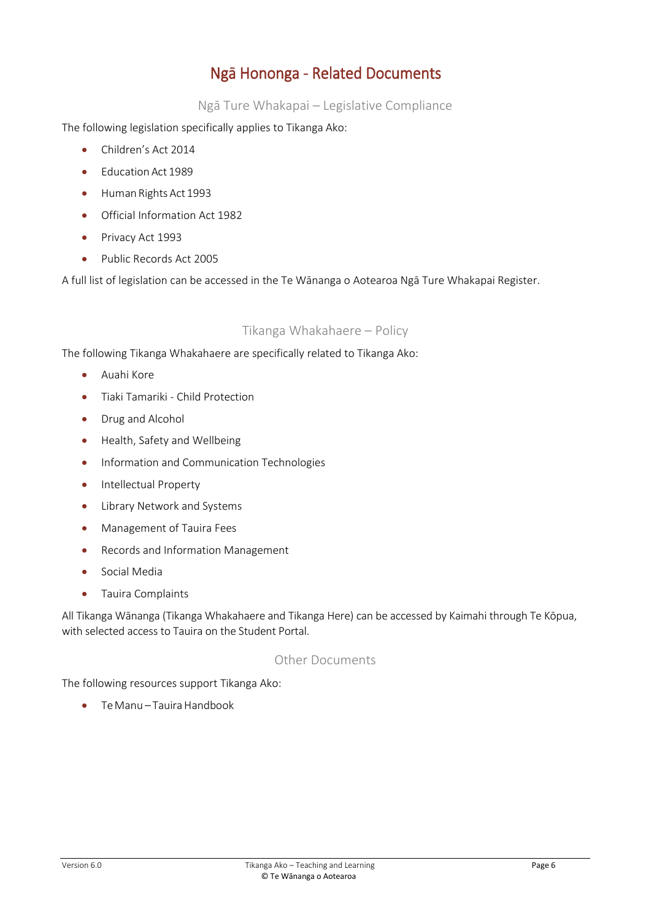### Ngā Hononga - Related Documents

Ngā Ture Whakapai – Legislative Compliance

<span id="page-5-1"></span><span id="page-5-0"></span>The following legislation specifically applies to Tikanga Ako:

- Children's Act 2014
- Education Act 1989
- Human Rights Act 1993
- Official Information Act 1982
- **•** Privacy Act 1993
- Public Records Act 2005

A full list of legislation can be accessed in the Te Wānanga o Aotearoa Ngā Ture Whakapai Register.

#### Tikanga Whakahaere – Policy

<span id="page-5-2"></span>The following Tikanga Whakahaere are specifically related to Tikanga Ako:

- Auahi Kore
- Tiaki Tamariki Child Protection
- Drug and Alcohol
- Health, Safety and Wellbeing
- Information and Communication Technologies
- Intellectual Property
- Library Network and Systems
- **•** Management of Tauira Fees
- Records and Information Management
- **•** Social Media
- Tauira Complaints

All Tikanga Wānanga (Tikanga Whakahaere and Tikanga Here) can be accessed by Kaimahi through Te Kōpua, with selected access to Tauira on the Student Portal.

#### Other Documents

<span id="page-5-3"></span>The following resources support Tikanga Ako:

 $\bullet$  Te Manu – Tauira Handbook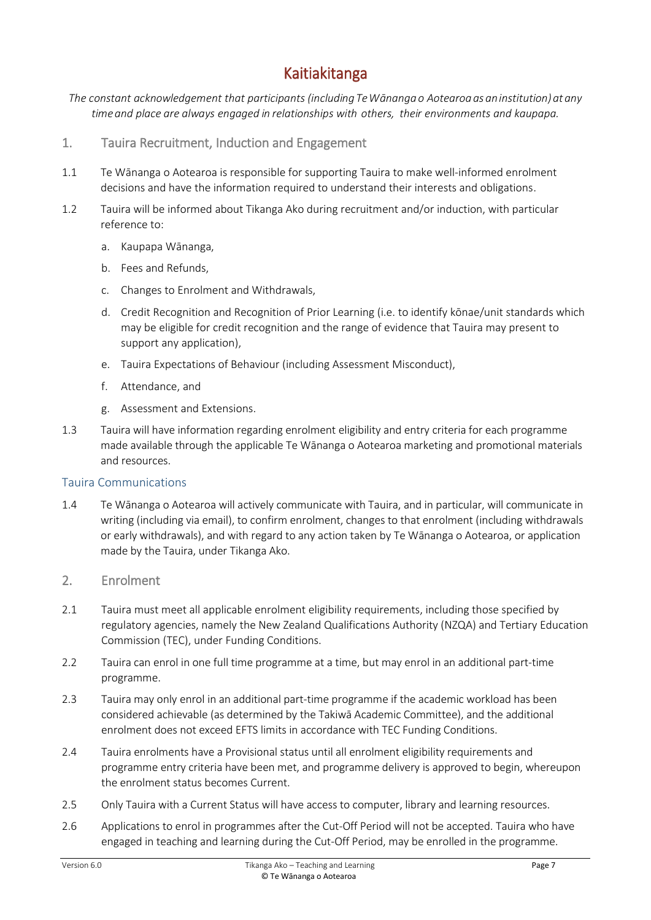### Kaitiakitanga

<span id="page-6-0"></span>*The constant acknowledgement that participants (includingTeWānangao Aotearoaasaninstitution)at any timeand place are always engaged in relationships with others, their environments and kaupapa.*

- <span id="page-6-1"></span>1. Tauira Recruitment, Induction and Engagement
- 1.1 Te Wānanga o Aotearoa is responsible for supporting Tauira to make well-informed enrolment decisions and have the information required to understand their interests and obligations.
- 1.2 Tauira will be informed about Tikanga Ako during recruitment and/or induction, with particular reference to:
	- a. Kaupapa Wānanga,
	- b. Fees and Refunds,
	- c. Changes to Enrolment and Withdrawals,
	- d. Credit Recognition and Recognition of Prior Learning (i.e. to identify kōnae/unit standards which may be eligible for credit recognition and the range of evidence that Tauira may present to support any application),
	- e. Tauira Expectations of Behaviour (including Assessment Misconduct),
	- f. Attendance, and
	- g. Assessment and Extensions.
- 1.3 Tauira will have information regarding enrolment eligibility and entry criteria for each programme made available through the applicable Te Wānanga o Aotearoa marketing and promotional materials and resources.

#### <span id="page-6-2"></span>Tauira Communications

- 1.4 Te Wānanga o Aotearoa will actively communicate with Tauira, and in particular, will communicate in writing (including via email), to confirm enrolment, changes to that enrolment (including withdrawals or early withdrawals), and with regard to any action taken by Te Wānanga o Aotearoa, or application made by the Tauira, under Tikanga Ako.
- <span id="page-6-3"></span>2. Enrolment
- 2.1 Tauira must meet all applicable enrolment eligibility requirements, including those specified by regulatory agencies, namely the New Zealand Qualifications Authority (NZQA) and Tertiary Education Commission (TEC), under Funding Conditions.
- 2.2 Tauira can enrol in one full time programme at a time, but may enrol in an additional part-time programme.
- 2.3 Tauira may only enrol in an additional part-time programme if the academic workload has been considered achievable (as determined by the Takiwā Academic Committee), and the additional enrolment does not exceed EFTS limits in accordance with TEC Funding Conditions.
- 2.4 Tauira enrolments have a Provisional status until all enrolment eligibility requirements and programme entry criteria have been met, and programme delivery is approved to begin, whereupon the enrolment status becomes Current.
- 2.5 Only Tauira with a Current Status will have access to computer, library and learning resources.
- 2.6 Applications to enrol in programmes after the Cut-Off Period will not be accepted. Tauira who have engaged in teaching and learning during the Cut-Off Period, may be enrolled in the programme.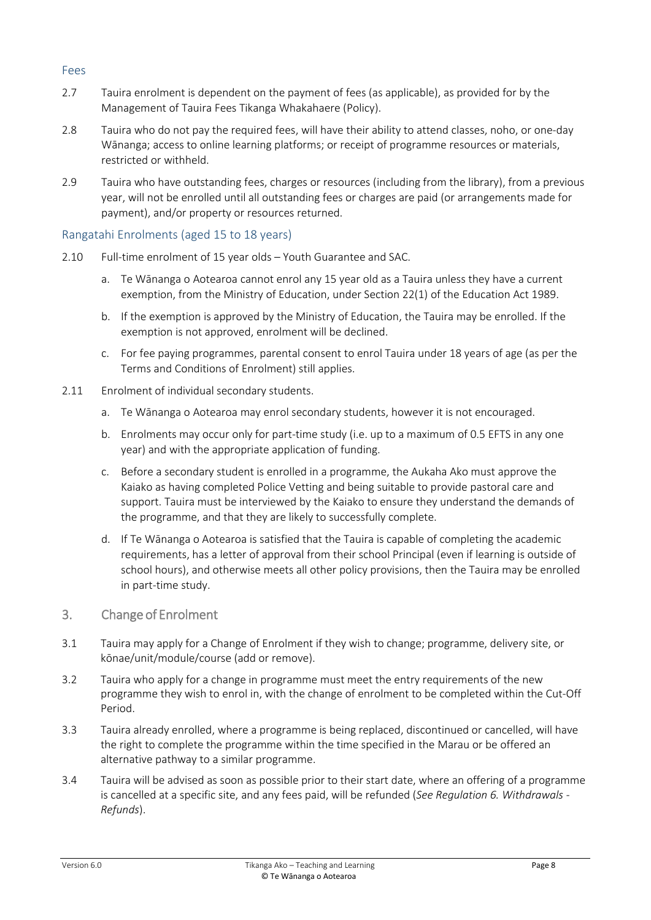#### <span id="page-7-0"></span>Fees

- 2.7 Tauira enrolment is dependent on the payment of fees (as applicable), as provided for by the Management of Tauira Fees Tikanga Whakahaere (Policy).
- 2.8 Tauira who do not pay the required fees, will have their ability to attend classes, noho, or one-day Wānanga; access to online learning platforms; or receipt of programme resources or materials, restricted or withheld.
- 2.9 Tauira who have outstanding fees, charges or resources (including from the library), from a previous year, will not be enrolled until all outstanding fees or charges are paid (or arrangements made for payment), and/or property or resources returned.

#### <span id="page-7-1"></span>Rangatahi Enrolments (aged 15 to 18 years)

- 2.10 Full-time enrolment of 15 year olds Youth Guarantee and SAC.
	- a. Te Wānanga o Aotearoa cannot enrol any 15 year old as a Tauira unless they have a current exemption, from the Ministry of Education, under Section 22(1) of the Education Act 1989.
	- b. If the exemption is approved by the Ministry of Education, the Tauira may be enrolled. If the exemption is not approved, enrolment will be declined.
	- c. For fee paying programmes, parental consent to enrol Tauira under 18 years of age (as per the Terms and Conditions of Enrolment) still applies.
- 2.11 Enrolment of individual secondary students.
	- a. Te Wānanga o Aotearoa may enrol secondary students, however it is not encouraged.
	- b. Enrolments may occur only for part-time study (i.e. up to a maximum of 0.5 EFTS in any one year) and with the appropriate application of funding.
	- c. Before a secondary student is enrolled in a programme, the Aukaha Ako must approve the Kaiako as having completed Police Vetting and being suitable to provide pastoral care and support. Tauira must be interviewed by the Kaiako to ensure they understand the demands of the programme, and that they are likely to successfully complete.
	- d. If Te Wānanga o Aotearoa is satisfied that the Tauira is capable of completing the academic requirements, has a letter of approval from their school Principal (even if learning is outside of school hours), and otherwise meets all other policy provisions, then the Tauira may be enrolled in part-time study.
- <span id="page-7-2"></span>3. Change of Enrolment
- 3.1 Tauira may apply for a Change of Enrolment if they wish to change; programme, delivery site, or kōnae/unit/module/course (add or remove).
- 3.2 Tauira who apply for a change in programme must meet the entry requirements of the new programme they wish to enrol in, with the change of enrolment to be completed within the Cut-Off Period.
- 3.3 Tauira already enrolled, where a programme is being replaced, discontinued or cancelled, will have the right to complete the programme within the time specified in the Marau or be offered an alternative pathway to a similar programme.
- 3.4 Tauira will be advised as soon as possible prior to their start date, where an offering of a programme is cancelled at a specific site, and any fees paid, will be refunded (*See Regulation 6. Withdrawals - Refunds*).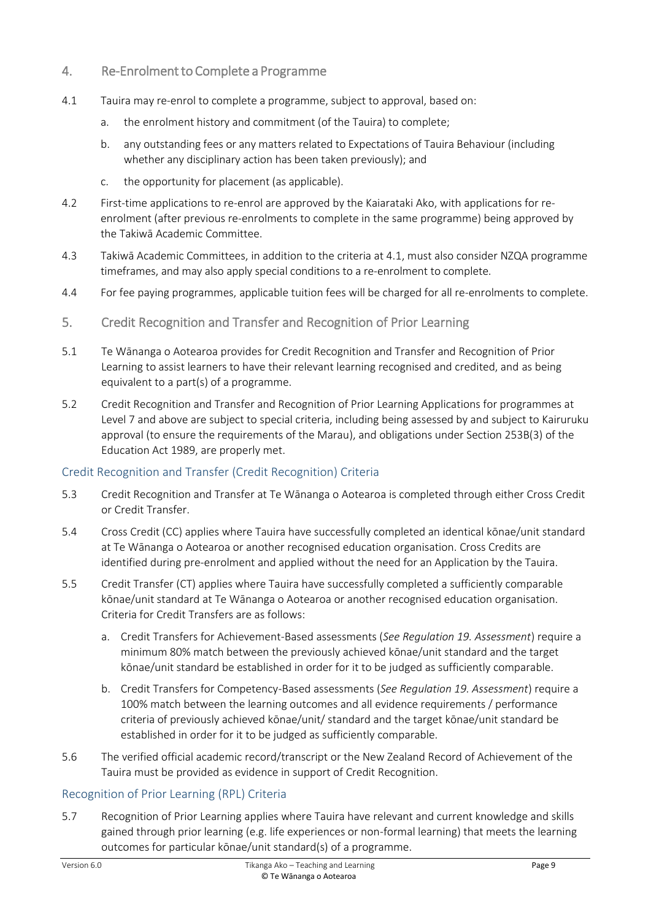- <span id="page-8-0"></span>4. Re-Enrolment to Complete a Programme
- 4.1 Tauira may re-enrol to complete a programme, subject to approval, based on:
	- a. the enrolment history and commitment (of the Tauira) to complete;
	- b. any outstanding fees or any matters related to Expectations of Tauira Behaviour (including whether any disciplinary action has been taken previously); and
	- c. the opportunity for placement (as applicable).
- 4.2 First-time applications to re-enrol are approved by the Kaiarataki Ako, with applications for reenrolment (after previous re-enrolments to complete in the same programme) being approved by the Takiwā Academic Committee.
- 4.3 Takiwā Academic Committees, in addition to the criteria at 4.1, must also consider NZQA programme timeframes, and may also apply special conditions to a re-enrolment to complete.
- 4.4 For fee paying programmes, applicable tuition fees will be charged for all re-enrolments to complete.
- <span id="page-8-1"></span>5. Credit Recognition and Transfer and Recognition of Prior Learning
- 5.1 Te Wānanga o Aotearoa provides for Credit Recognition and Transfer and Recognition of Prior Learning to assist learners to have their relevant learning recognised and credited, and as being equivalent to a part(s) of a programme.
- 5.2 Credit Recognition and Transfer and Recognition of Prior Learning Applications for programmes at Level 7 and above are subject to special criteria, including being assessed by and subject to Kairuruku approval (to ensure the requirements of the Marau), and obligations under Section 253B(3) of the Education Act 1989, are properly met.

#### <span id="page-8-2"></span>Credit Recognition and Transfer (Credit Recognition) Criteria

- 5.3 Credit Recognition and Transfer at Te Wānanga o Aotearoa is completed through either Cross Credit or Credit Transfer.
- 5.4 Cross Credit (CC) applies where Tauira have successfully completed an identical kōnae/unit standard at Te Wānanga o Aotearoa or another recognised education organisation. Cross Credits are identified during pre-enrolment and applied without the need for an Application by the Tauira.
- 5.5 Credit Transfer (CT) applies where Tauira have successfully completed a sufficiently comparable kōnae/unit standard at Te Wānanga o Aotearoa or another recognised education organisation. Criteria for Credit Transfers are as follows:
	- a. Credit Transfers for Achievement-Based assessments (*See Regulation 19. Assessment*) require a minimum 80% match between the previously achieved kōnae/unit standard and the target kōnae/unit standard be established in order for it to be judged as sufficiently comparable.
	- b. Credit Transfers for Competency-Based assessments (*See Regulation 19. Assessment*) require a 100% match between the learning outcomes and all evidence requirements / performance criteria of previously achieved kōnae/unit/ standard and the target kōnae/unit standard be established in order for it to be judged as sufficiently comparable.
- 5.6 The verified official academic record/transcript or the New Zealand Record of Achievement of the Tauira must be provided as evidence in support of Credit Recognition.

#### <span id="page-8-3"></span>Recognition of Prior Learning (RPL) Criteria

5.7 Recognition of Prior Learning applies where Tauira have relevant and current knowledge and skills gained through prior learning (e.g. life experiences or non-formal learning) that meets the learning outcomes for particular kōnae/unit standard(s) of a programme.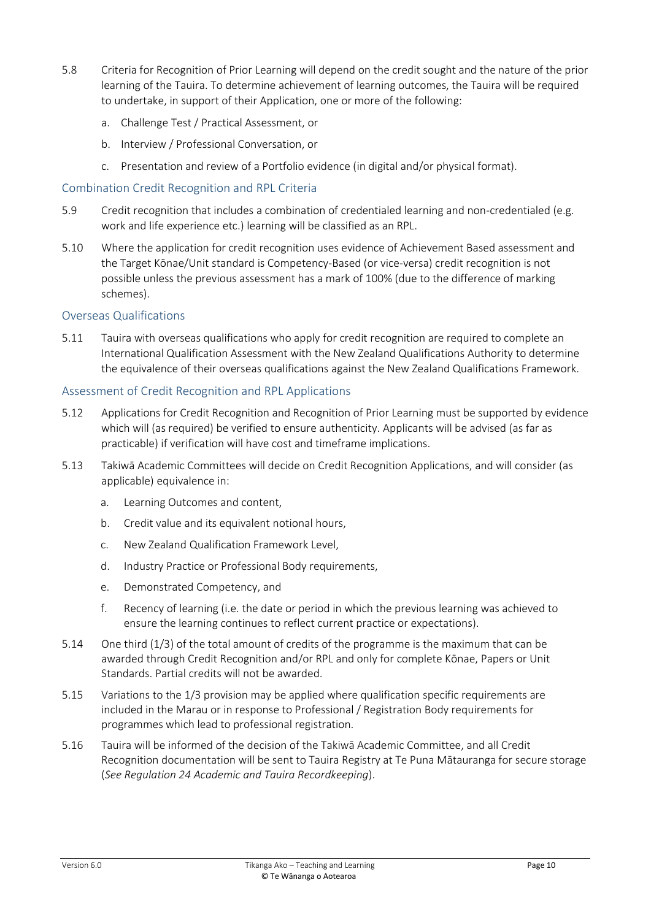- 5.8 Criteria for Recognition of Prior Learning will depend on the credit sought and the nature of the prior learning of the Tauira. To determine achievement of learning outcomes, the Tauira will be required to undertake, in support of their Application, one or more of the following:
	- a. Challenge Test / Practical Assessment, or
	- b. Interview / Professional Conversation, or
	- c. Presentation and review of a Portfolio evidence (in digital and/or physical format).

#### <span id="page-9-0"></span>Combination Credit Recognition and RPL Criteria

- 5.9 Credit recognition that includes a combination of credentialed learning and non-credentialed (e.g. work and life experience etc.) learning will be classified as an RPL.
- 5.10 Where the application for credit recognition uses evidence of Achievement Based assessment and the Target Kōnae/Unit standard is Competency-Based (or vice-versa) credit recognition is not possible unless the previous assessment has a mark of 100% (due to the difference of marking schemes).

#### <span id="page-9-1"></span>Overseas Qualifications

5.11 Tauira with overseas qualifications who apply for credit recognition are required to complete an International Qualification Assessment with the New Zealand Qualifications Authority to determine the equivalence of their overseas qualifications against the New Zealand Qualifications Framework.

#### <span id="page-9-2"></span>Assessment of Credit Recognition and RPL Applications

- 5.12 Applications for Credit Recognition and Recognition of Prior Learning must be supported by evidence which will (as required) be verified to ensure authenticity. Applicants will be advised (as far as practicable) if verification will have cost and timeframe implications.
- 5.13 Takiwā Academic Committees will decide on Credit Recognition Applications, and will consider (as applicable) equivalence in:
	- a. Learning Outcomes and content,
	- b. Credit value and its equivalent notional hours,
	- c. New Zealand Qualification Framework Level,
	- d. Industry Practice or Professional Body requirements,
	- e. Demonstrated Competency, and
	- f. Recency of learning (i.e. the date or period in which the previous learning was achieved to ensure the learning continues to reflect current practice or expectations).
- 5.14 One third (1/3) of the total amount of credits of the programme is the maximum that can be awarded through Credit Recognition and/or RPL and only for complete Kōnae, Papers or Unit Standards. Partial credits will not be awarded.
- 5.15 Variations to the 1/3 provision may be applied where qualification specific requirements are included in the Marau or in response to Professional / Registration Body requirements for programmes which lead to professional registration.
- 5.16 Tauira will be informed of the decision of the Takiwā Academic Committee, and all Credit Recognition documentation will be sent to Tauira Registry at Te Puna Mātauranga for secure storage (*See Regulation 24 Academic and Tauira Recordkeeping*).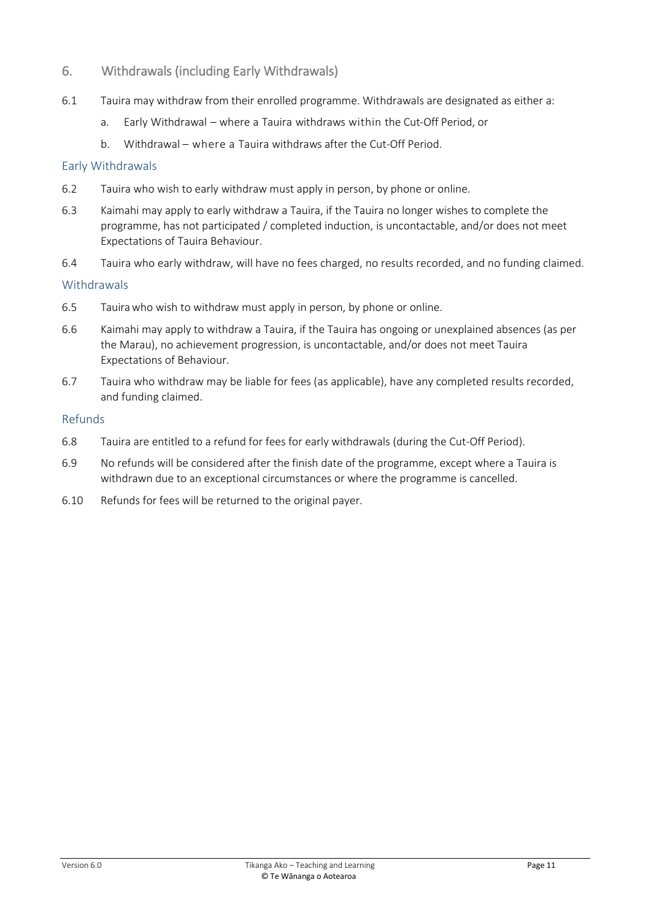#### <span id="page-10-0"></span>6. Withdrawals (including Early Withdrawals)

- 6.1 Tauira may withdraw from their enrolled programme. Withdrawals are designated as either a:
	- a. Early Withdrawal where a Tauira withdraws within the Cut-Off Period, or
	- b. Withdrawal where a Tauira withdraws after the Cut-Off Period.

#### <span id="page-10-1"></span>Early Withdrawals

- 6.2 Tauira who wish to early withdraw must apply in person, by phone or online.
- 6.3 Kaimahi may apply to early withdraw a Tauira, if the Tauira no longer wishes to complete the programme, has not participated / completed induction, is uncontactable, and/or does not meet Expectations of Tauira Behaviour.
- 6.4 Tauira who early withdraw, will have no fees charged, no results recorded, and no funding claimed.

#### <span id="page-10-2"></span>Withdrawals

- 6.5 Tauirawho wish to withdraw must apply in person, by phone or online.
- 6.6 Kaimahi may apply to withdraw a Tauira, if the Tauira has ongoing or unexplained absences (as per the Marau), no achievement progression, is uncontactable, and/or does not meet Tauira Expectations of Behaviour.
- 6.7 Tauira who withdraw may be liable for fees (as applicable), have any completed results recorded, and funding claimed.

#### <span id="page-10-3"></span>Refunds

- 6.8 Tauira are entitled to a refund for fees for early withdrawals (during the Cut-Off Period).
- 6.9 No refunds will be considered after the finish date of the programme, except where a Tauira is withdrawn due to an exceptional circumstances or where the programme is cancelled.
- 6.10 Refunds for fees will be returned to the original payer.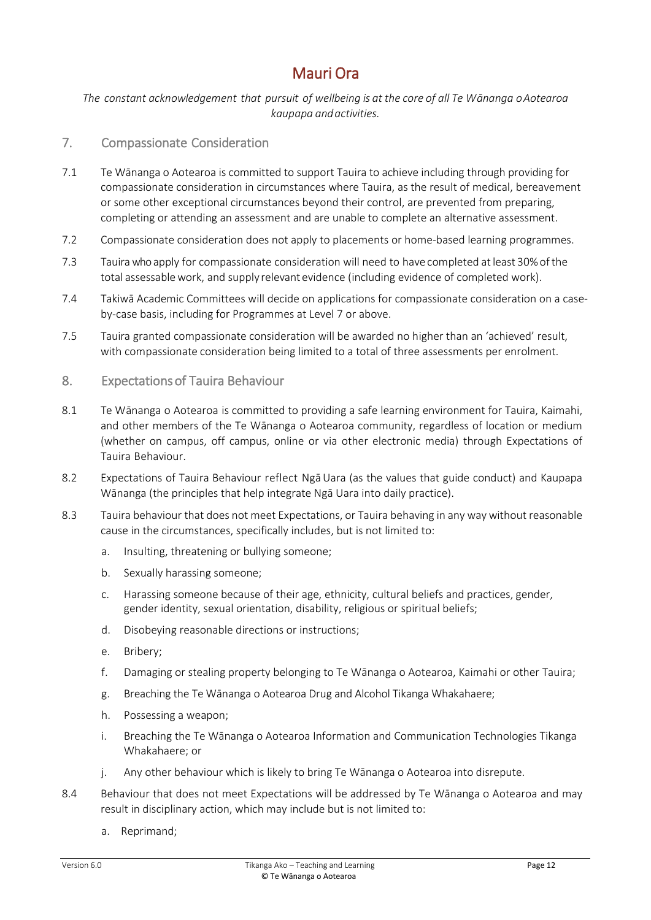### Mauri Ora

<span id="page-11-0"></span>*The constant acknowledgement that pursuit of wellbeing is at the core of all Te Wānanga oAotearoa kaupapa andactivities.*

#### <span id="page-11-1"></span>7. Compassionate Consideration

- 7.1 Te Wānanga o Aotearoa is committed to support Tauira to achieve including through providing for compassionate consideration in circumstances where Tauira, as the result of medical, bereavement or some other exceptional circumstances beyond their control, are prevented from preparing, completing or attending an assessment and are unable to complete an alternative assessment.
- 7.2 Compassionate consideration does not apply to placements or home-based learning programmes.
- 7.3 Tauirawho apply for compassionate consideration will need to have completed atleast 30%ofthe total assessablework, and supply relevant evidence (including evidence of completed work).
- 7.4 Takiwā Academic Committees will decide on applications for compassionate consideration on a caseby-case basis, including for Programmes at Level 7 or above.
- 7.5 Tauira granted compassionate consideration will be awarded no higher than an 'achieved' result, with compassionate consideration being limited to a total of three assessments per enrolment.
- <span id="page-11-2"></span>8. Expectations of Tauira Behaviour
- 8.1 Te Wānanga o Aotearoa is committed to providing a safe learning environment for Tauira, Kaimahi, and other members of the Te Wānanga o Aotearoa community, regardless of location or medium (whether on campus, off campus, online or via other electronic media) through Expectations of Tauira Behaviour.
- 8.2 Expectations of Tauira Behaviour reflect Ngā Uara (as the values that guide conduct) and Kaupapa Wānanga (the principles that help integrate Ngā Uara into daily practice).
- 8.3 Tauira behaviour that does not meet Expectations, or Tauira behaving in any way without reasonable cause in the circumstances, specifically includes, but is not limited to:
	- a. Insulting, threatening or bullying someone;
	- b. Sexually harassing someone;
	- c. Harassing someone because of their age, ethnicity, cultural beliefs and practices, gender, gender identity, sexual orientation, disability, religious or spiritual beliefs;
	- d. Disobeying reasonable directions or instructions;
	- e. Bribery;
	- f. Damaging or stealing property belonging to Te Wānanga o Aotearoa, Kaimahi or other Tauira;
	- g. Breaching the Te Wānanga o Aotearoa Drug and Alcohol Tikanga Whakahaere;
	- h. Possessing a weapon;
	- i. Breaching the Te Wānanga o Aotearoa Information and Communication Technologies Tikanga Whakahaere; or
	- j. Any other behaviour which is likely to bring Te Wānanga o Aotearoa into disrepute.
- 8.4 Behaviour that does not meet Expectations will be addressed by Te Wānanga o Aotearoa and may result in disciplinary action, which may include but is not limited to:
	- a. Reprimand;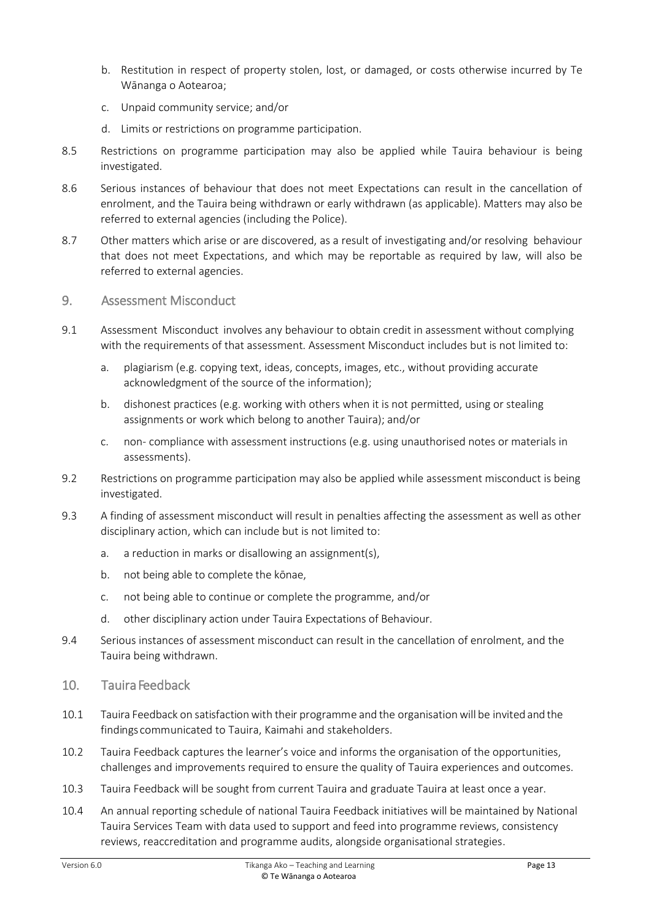- b. Restitution in respect of property stolen, lost, or damaged, or costs otherwise incurred by Te Wānanga o Aotearoa;
- c. Unpaid community service; and/or
- d. Limits or restrictions on programme participation.
- 8.5 Restrictions on programme participation may also be applied while Tauira behaviour is being investigated.
- 8.6 Serious instances of behaviour that does not meet Expectations can result in the cancellation of enrolment, and the Tauira being withdrawn or early withdrawn (as applicable). Matters may also be referred to external agencies (including the Police).
- 8.7 Other matters which arise or are discovered, as a result of investigating and/or resolving behaviour that does not meet Expectations, and which may be reportable as required by law, will also be referred to external agencies.
- <span id="page-12-0"></span>9. Assessment Misconduct
- 9.1 Assessment Misconduct involves any behaviour to obtain credit in assessment without complying with the requirements of that assessment. Assessment Misconduct includes but is not limited to:
	- a. plagiarism (e.g. copying text, ideas, concepts, images, etc., without providing accurate acknowledgment of the source of the information);
	- b. dishonest practices (e.g. working with others when it is not permitted, using or stealing assignments or work which belong to another Tauira); and/or
	- c. non- compliance with assessment instructions (e.g. using unauthorised notes or materials in assessments).
- 9.2 Restrictions on programme participation may also be applied while assessment misconduct is being investigated.
- 9.3 A finding of assessment misconduct will result in penalties affecting the assessment as well as other disciplinary action, which can include but is not limited to:
	- a. a reduction in marks or disallowing an assignment(s),
	- b. not being able to complete the kōnae,
	- c. not being able to continue or complete the programme, and/or
	- d. other disciplinary action under Tauira Expectations of Behaviour.
- 9.4 Serious instances of assessment misconduct can result in the cancellation of enrolment, and the Tauira being withdrawn.
- <span id="page-12-1"></span>10. Tauira Feedback
- 10.1 Tauira Feedback on satisfaction with their programme and the organisation will be invited and the findings communicated to Tauira, Kaimahi and stakeholders.
- 10.2 Tauira Feedback captures the learner's voice and informs the organisation of the opportunities, challenges and improvements required to ensure the quality of Tauira experiences and outcomes.
- 10.3 Tauira Feedback will be sought from current Tauira and graduate Tauira at least once a year.
- 10.4 An annual reporting schedule of national Tauira Feedback initiatives will be maintained by National Tauira Services Team with data used to support and feed into programme reviews, consistency reviews, reaccreditation and programme audits, alongside organisational strategies.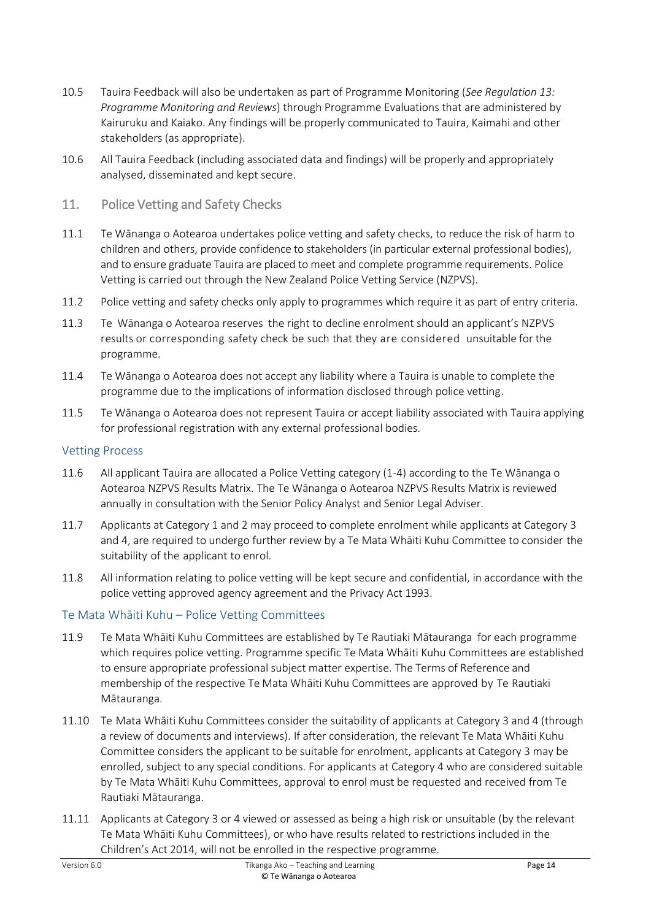- 10.5 Tauira Feedback will also be undertaken as part of Programme Monitoring (*See Regulation 13: Programme Monitoring and Reviews*) through Programme Evaluations that are administered by Kairuruku and Kaiako. Any findings will be properly communicated to Tauira, Kaimahi and other stakeholders (as appropriate).
- 10.6 All Tauira Feedback (including associated data and findings) will be properly and appropriately analysed, disseminated and kept secure.
- <span id="page-13-0"></span>11. Police Vetting and Safety Checks
- 11.1 Te Wānanga o Aotearoa undertakes police vetting and safety checks, to reduce the risk of harm to children and others, provide confidence to stakeholders (in particular external professional bodies), and to ensure graduate Tauira are placed to meet and complete programme requirements. Police Vetting is carried out through the New Zealand Police Vetting Service (NZPVS).
- 11.2 Police vetting and safety checks only apply to programmes which require it as part of entry criteria.
- 11.3 Te Wānanga o Aotearoa reserves the right to decline enrolment should an applicant's NZPVS results or corresponding safety check be such that they are considered unsuitable for the programme.
- 11.4 Te Wānanga o Aotearoa does not accept any liability where a Tauira is unable to complete the programme due to the implications of information disclosed through police vetting.
- 11.5 Te Wānanga o Aotearoa does not represent Tauira or accept liability associated with Tauira applying for professional registration with any external professional bodies.

#### <span id="page-13-1"></span>Vetting Process

- 11.6 All applicant Tauira are allocated a Police Vetting category (1-4) according to the Te Wānanga o Aotearoa NZPVS Results Matrix. The Te Wānanga o Aotearoa NZPVS Results Matrix is reviewed annually in consultation with the Senior Policy Analyst and Senior Legal Adviser.
- 11.7 Applicants at Category 1 and 2 may proceed to complete enrolment while applicants at Category 3 and 4, are required to undergo further review by a Te Mata Whāiti Kuhu Committee to consider the suitability of the applicant to enrol.
- 11.8 All information relating to police vetting will be kept secure and confidential, in accordance with the police vetting approved agency agreement and the Privacy Act 1993.

#### <span id="page-13-2"></span>Te Mata Whāiti Kuhu – Police Vetting Committees

- 11.9 Te Mata Whāiti Kuhu Committees are established by Te Rautiaki Mātauranga for each programme which requires police vetting. Programme specific Te Mata Whāiti Kuhu Committees are established to ensure appropriate professional subject matter expertise. The Terms of Reference and membership of the respective Te Mata Whāiti Kuhu Committees are approved by Te Rautiaki Mātauranga.
- 11.10 Te Mata Whāiti Kuhu Committees consider the suitability of applicants at Category 3 and 4 (through a review of documents and interviews). If after consideration, the relevant Te Mata Whāiti Kuhu Committee considers the applicant to be suitable for enrolment, applicants at Category 3 may be enrolled, subject to any special conditions. For applicants at Category 4 who are considered suitable by Te Mata Whāiti Kuhu Committees, approval to enrol must be requested and received from Te Rautiaki Mātauranga.
- 11.11 Applicants at Category 3 or 4 viewed or assessed as being a high risk or unsuitable (by the relevant Te Mata Whāiti Kuhu Committees), or who have results related to restrictions included in the Children's Act 2014, will not be enrolled in the respective programme.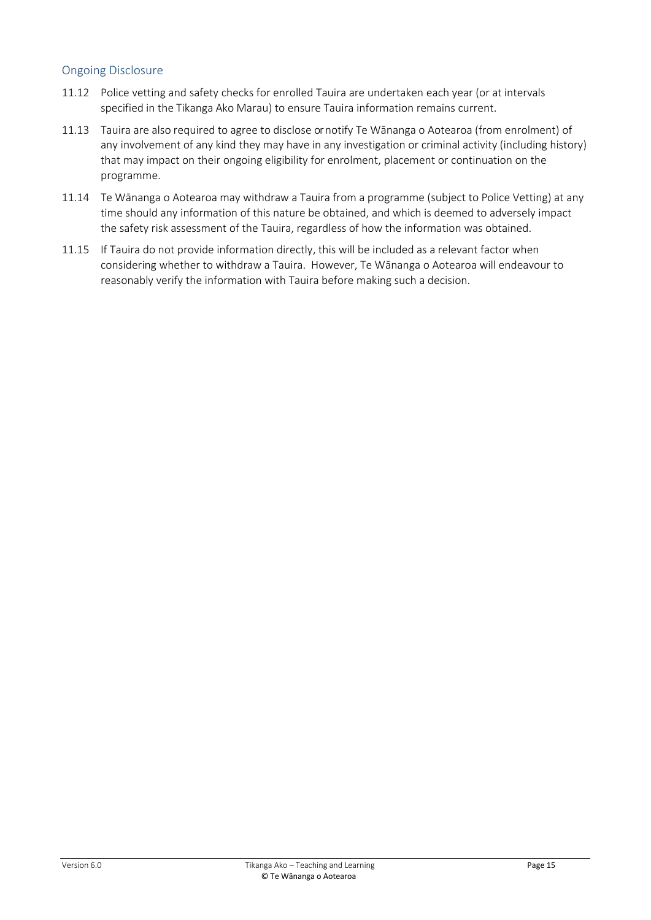#### <span id="page-14-0"></span>Ongoing Disclosure

- 11.12 Police vetting and safety checks for enrolled Tauira are undertaken each year (or at intervals specified in the Tikanga Ako Marau) to ensure Tauira information remains current.
- 11.13 Tauira are also required to agree to disclose or notify Te Wānanga o Aotearoa (from enrolment) of any involvement of any kind they may have in any investigation or criminal activity (including history) that may impact on their ongoing eligibility for enrolment, placement or continuation on the programme.
- 11.14 Te Wānanga o Aotearoa may withdraw a Tauira from a programme (subject to Police Vetting) at any time should any information of this nature be obtained, and which is deemed to adversely impact the safety risk assessment of the Tauira, regardless of how the information was obtained.
- 11.15 If Tauira do not provide information directly, this will be included as a relevant factor when considering whether to withdraw a Tauira. However, Te Wānanga o Aotearoa will endeavour to reasonably verify the information with Tauira before making such a decision.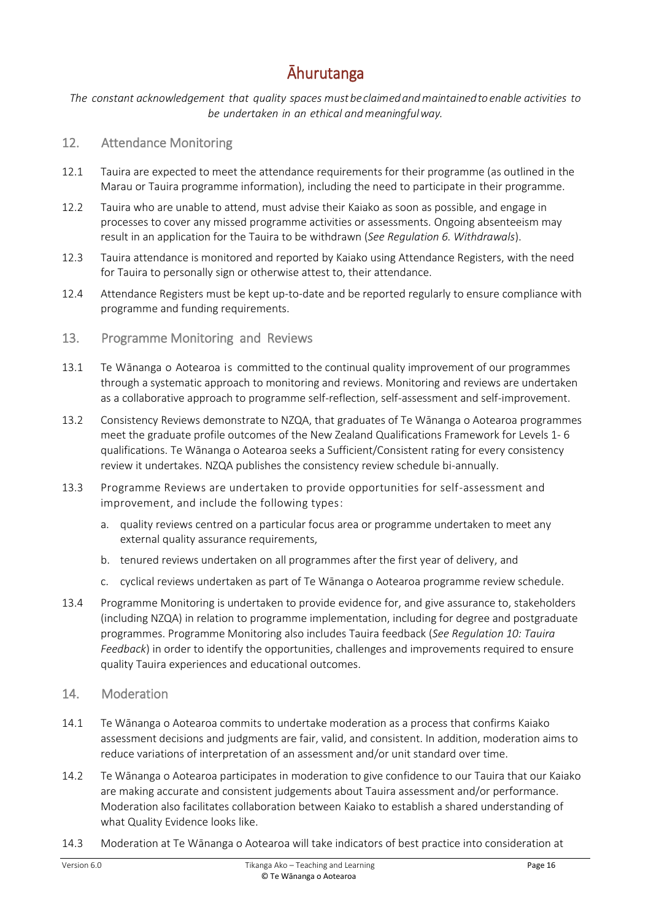### Āhurutanga

<span id="page-15-0"></span>*The constant acknowledgement that quality spaces mustbeclaimedandmaintainedto enable activities to be undertaken in an ethical andmeaningfulway.*

#### <span id="page-15-1"></span>12. Attendance Monitoring

- 12.1 Tauira are expected to meet the attendance requirements for their programme (as outlined in the Marau or Tauira programme information), including the need to participate in their programme.
- 12.2 Tauira who are unable to attend, must advise their Kaiako as soon as possible, and engage in processes to cover any missed programme activities or assessments. Ongoing absenteeism may result in an application for the Tauira to be withdrawn (*See Regulation 6. Withdrawals*).
- 12.3 Tauira attendance is monitored and reported by Kaiako using Attendance Registers, with the need for Tauira to personally sign or otherwise attest to, their attendance.
- 12.4 Attendance Registers must be kept up-to-date and be reported regularly to ensure compliance with programme and funding requirements.
- <span id="page-15-2"></span>13. Programme Monitoring and Reviews
- 13.1 Te Wānanga o Aotearoa is committed to the continual quality improvement of our programmes through a systematic approach to monitoring and reviews. Monitoring and reviews are undertaken as a collaborative approach to programme self-reflection, self-assessment and self-improvement.
- 13.2 Consistency Reviews demonstrate to NZQA, that graduates of Te Wānanga o Aotearoa programmes meet the graduate profile outcomes of the New Zealand Qualifications Framework for Levels 1- 6 qualifications. Te Wānanga o Aotearoa seeks a Sufficient/Consistent rating for every consistency review it undertakes. NZQA publishes the consistency review schedule bi-annually.
- 13.3 Programme Reviews are undertaken to provide opportunities for self-assessment and improvement, and include the following types:
	- a. quality reviews centred on a particular focus area or programme undertaken to meet any external quality assurance requirements,
	- b. tenured reviews undertaken on all programmes after the first year of delivery, and
	- c. cyclical reviews undertaken as part of Te Wānanga o Aotearoa programme review schedule.
- 13.4 Programme Monitoring is undertaken to provide evidence for, and give assurance to, stakeholders (including NZQA) in relation to programme implementation, including for degree and postgraduate programmes. Programme Monitoring also includes Tauira feedback (*See Regulation 10: Tauira Feedback*) in order to identify the opportunities, challenges and improvements required to ensure quality Tauira experiences and educational outcomes.
- <span id="page-15-3"></span>14. Moderation
- 14.1 Te Wānanga o Aotearoa commits to undertake moderation as a process that confirms Kaiako assessment decisions and judgments are fair, valid, and consistent. In addition, moderation aims to reduce variations of interpretation of an assessment and/or unit standard over time.
- 14.2 Te Wānanga o Aotearoa participates in moderation to give confidence to our Tauira that our Kaiako are making accurate and consistent judgements about Tauira assessment and/or performance. Moderation also facilitates collaboration between Kaiako to establish a shared understanding of what Quality Evidence looks like.
- 14.3 Moderation at Te Wānanga o Aotearoa will take indicators of best practice into consideration at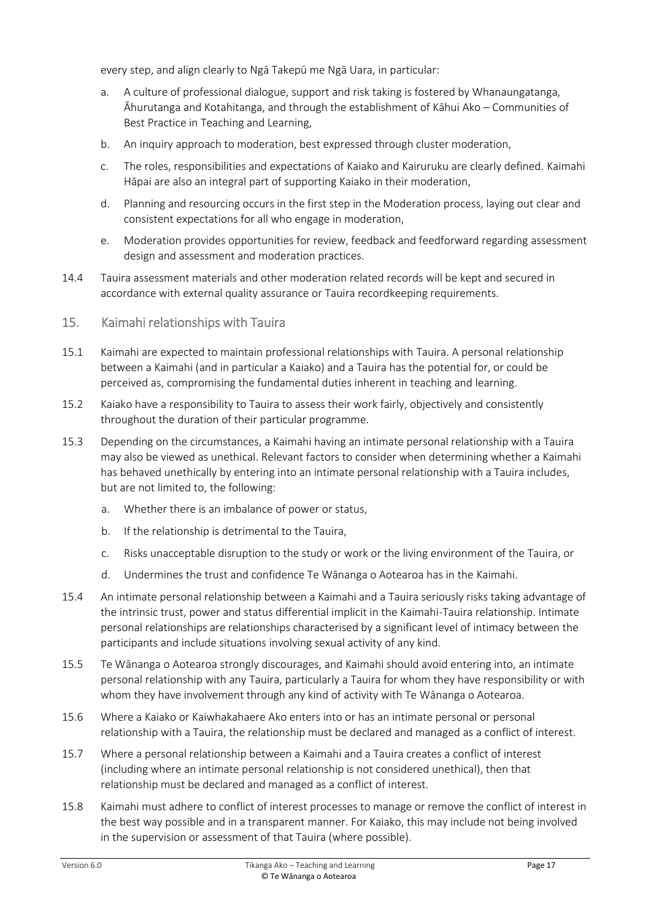every step, and align clearly to Ngā Takepū me Ngā Uara, in particular:

- a. A culture of professional dialogue, support and risk taking is fostered by Whanaungatanga, Āhurutanga and Kotahitanga, and through the establishment of Kāhui Ako – Communities of Best Practice in Teaching and Learning,
- b. An inquiry approach to moderation, best expressed through cluster moderation,
- c. The roles, responsibilities and expectations of Kaiako and Kairuruku are clearly defined. Kaimahi Hāpai are also an integral part of supporting Kaiako in their moderation,
- d. Planning and resourcing occurs in the first step in the Moderation process, laying out clear and consistent expectations for all who engage in moderation,
- e. Moderation provides opportunities for review, feedback and feedforward regarding assessment design and assessment and moderation practices.
- 14.4 Tauira assessment materials and other moderation related records will be kept and secured in accordance with external quality assurance or Tauira recordkeeping requirements.
- <span id="page-16-0"></span>15. Kaimahi relationships with Tauira
- 15.1 Kaimahi are expected to maintain professional relationships with Tauira. A personal relationship between a Kaimahi (and in particular a Kaiako) and a Tauira has the potential for, or could be perceived as, compromising the fundamental duties inherent in teaching and learning.
- 15.2 Kaiako have a responsibility to Tauira to assess their work fairly, objectively and consistently throughout the duration of their particular programme.
- 15.3 Depending on the circumstances, a Kaimahi having an intimate personal relationship with a Tauira may also be viewed as unethical. Relevant factors to consider when determining whether a Kaimahi has behaved unethically by entering into an intimate personal relationship with a Tauira includes, but are not limited to, the following:
	- a. Whether there is an imbalance of power or status,
	- b. If the relationship is detrimental to the Tauira,
	- c. Risks unacceptable disruption to the study or work or the living environment of the Tauira, or
	- d. Undermines the trust and confidence Te Wānanga o Aotearoa has in the Kaimahi.
- 15.4 An intimate personal relationship between a Kaimahi and a Tauira seriously risks taking advantage of the intrinsic trust, power and status differential implicit in the Kaimahi-Tauira relationship. Intimate personal relationships are relationships characterised by a significant level of intimacy between the participants and include situations involving sexual activity of any kind.
- 15.5 Te Wānanga o Aotearoa strongly discourages, and Kaimahi should avoid entering into, an intimate personal relationship with any Tauira, particularly a Tauira for whom they have responsibility or with whom they have involvement through any kind of activity with Te Wānanga o Aotearoa.
- 15.6 Where a Kaiako or Kaiwhakahaere Ako enters into or has an intimate personal or personal relationship with a Tauira, the relationship must be declared and managed as a conflict of interest.
- 15.7 Where a personal relationship between a Kaimahi and a Tauira creates a conflict of interest (including where an intimate personal relationship is not considered unethical), then that relationship must be declared and managed as a conflict of interest.
- 15.8 Kaimahi must adhere to conflict of interest processes to manage or remove the conflict of interest in the best way possible and in a transparent manner. For Kaiako, this may include not being involved in the supervision or assessment of that Tauira (where possible).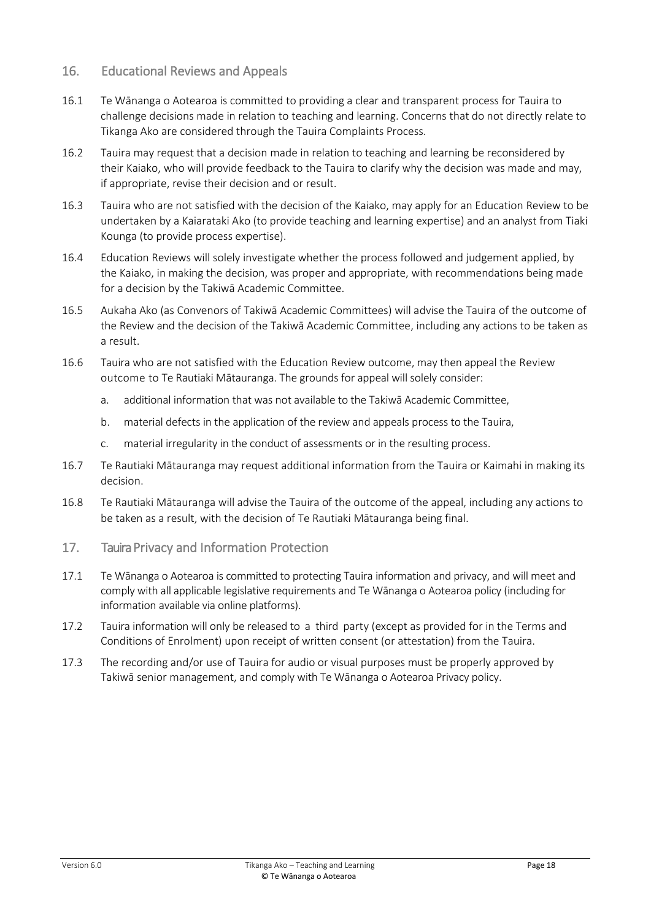#### <span id="page-17-0"></span>16. Educational Reviews and Appeals

- 16.1 Te Wānanga o Aotearoa is committed to providing a clear and transparent process for Tauira to challenge decisions made in relation to teaching and learning. Concerns that do not directly relate to Tikanga Ako are considered through the Tauira Complaints Process.
- 16.2 Tauira may request that a decision made in relation to teaching and learning be reconsidered by their Kaiako, who will provide feedback to the Tauira to clarify why the decision was made and may, if appropriate, revise their decision and or result.
- 16.3 Tauira who are not satisfied with the decision of the Kaiako, may apply for an Education Review to be undertaken by a Kaiarataki Ako (to provide teaching and learning expertise) and an analyst from Tiaki Kounga (to provide process expertise).
- 16.4 Education Reviews will solely investigate whether the process followed and judgement applied, by the Kaiako, in making the decision, was proper and appropriate, with recommendations being made for a decision by the Takiwā Academic Committee.
- 16.5 Aukaha Ako (as Convenors of Takiwā Academic Committees) will advise the Tauira of the outcome of the Review and the decision of the Takiwā Academic Committee, including any actions to be taken as a result.
- 16.6 Tauira who are not satisfied with the Education Review outcome, may then appeal the Review outcome to Te Rautiaki Mātauranga. The grounds for appeal will solely consider:
	- a. additional information that was not available to the Takiwā Academic Committee,
	- b. material defects in the application of the review and appeals process to the Tauira,
	- c. material irregularity in the conduct of assessments or in the resulting process.
- 16.7 Te Rautiaki Mātauranga may request additional information from the Tauira or Kaimahi in making its decision.
- 16.8 Te Rautiaki Mātauranga will advise the Tauira of the outcome of the appeal, including any actions to be taken as a result, with the decision of Te Rautiaki Mātauranga being final.
- <span id="page-17-1"></span>17. Tauira Privacy and Information Protection
- 17.1 Te Wānanga o Aotearoa is committed to protecting Tauira information and privacy, and will meet and comply with all applicable legislative requirements and Te Wānanga o Aotearoa policy (including for information available via online platforms).
- 17.2 Tauira information will only be released to a third party (except as provided for in the Terms and Conditions of Enrolment) upon receipt of written consent (or attestation) from the Tauira.
- 17.3 The recording and/or use of Tauira for audio or visual purposes must be properly approved by Takiwā senior management, and comply with Te Wānanga o Aotearoa Privacy policy.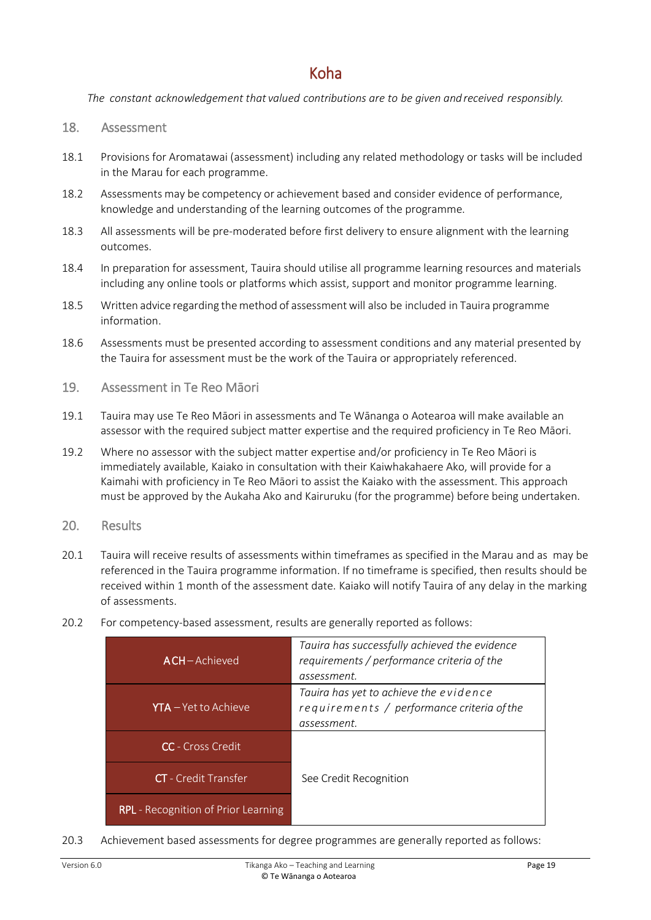### Koha

<span id="page-18-0"></span>*The constant acknowledgement that valued contributions are to be given and received responsibly.*

#### <span id="page-18-1"></span>18. Assessment

- 18.1 Provisions for Aromatawai (assessment) including any related methodology or tasks will be included in the Marau for each programme.
- 18.2 Assessments may be competency or achievement based and consider evidence of performance, knowledge and understanding of the learning outcomes of the programme.
- 18.3 All assessments will be pre-moderated before first delivery to ensure alignment with the learning outcomes.
- 18.4 In preparation for assessment, Tauira should utilise all programme learning resources and materials including any online tools or platforms which assist, support and monitor programme learning.
- 18.5 Written advice regarding themethod of assessmentwill also be included in Tauira programme information.
- 18.6 Assessments must be presented according to assessment conditions and any material presented by the Tauira for assessment must be the work of the Tauira or appropriately referenced.
- <span id="page-18-2"></span>19. Assessment in Te Reo Māori
- 19.1 Tauira may use Te Reo Māori in assessments and Te Wānanga o Aotearoa will make available an assessor with the required subject matter expertise and the required proficiency in Te Reo Māori.
- 19.2 Where no assessor with the subject matter expertise and/or proficiency in Te Reo Māori is immediately available, Kaiako in consultation with their Kaiwhakahaere Ako, will provide for a Kaimahi with proficiency in Te Reo Māori to assist the Kaiako with the assessment. This approach must be approved by the Aukaha Ako and Kairuruku (for the programme) before being undertaken.
- <span id="page-18-3"></span>20. Results
- 20.1 Tauira will receive results of assessments within timeframes as specified in the Marau and as may be referenced in the Tauira programme information. If no timeframe is specified, then results should be received within 1 month of the assessment date. Kaiako will notify Tauira of any delay in the marking of assessments.
- 20.2 For competency-based assessment, results are generally reported as follows:

| ACH-Achieved                               | Tauira has successfully achieved the evidence<br>requirements / performance criteria of the<br>assessment. |  |
|--------------------------------------------|------------------------------------------------------------------------------------------------------------|--|
| $YTA - Yet to Achieve$                     | Tauira has yet to achieve the evidence<br>requirements / performance criteria of the<br>assessment.        |  |
| <b>CC</b> - Cross Credit                   |                                                                                                            |  |
| <b>CT</b> - Credit Transfer                | See Credit Recognition                                                                                     |  |
| <b>RPL</b> - Recognition of Prior Learning |                                                                                                            |  |

20.3 Achievement based assessments for degree programmes are generally reported as follows: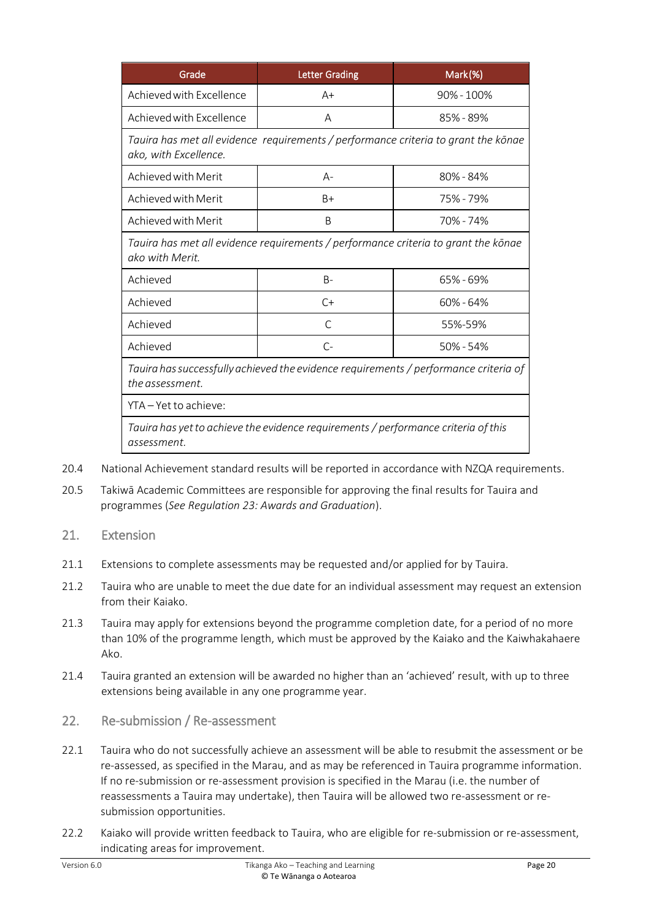| Grade                                                                                                       | <b>Letter Grading</b> | Mark(%)        |  |  |
|-------------------------------------------------------------------------------------------------------------|-----------------------|----------------|--|--|
| Achieved with Excellence                                                                                    | $A+$                  | $90\% - 100\%$ |  |  |
| Achieved with Excellence                                                                                    | A                     | 85% - 89%      |  |  |
| Tauira has met all evidence requirements / performance criteria to grant the kōnae<br>ako, with Excellence. |                       |                |  |  |
| Achieved with Merit                                                                                         | A-                    | 80% - 84%      |  |  |
| Achieved with Merit                                                                                         | B+                    | 75% - 79%      |  |  |
| Achieved with Merit                                                                                         | B                     | 70%-74%        |  |  |
| Tauira has met all evidence requirements / performance criteria to grant the kōnae<br>ako with Merit.       |                       |                |  |  |
| Achieved                                                                                                    | $B -$                 | 65% - 69%      |  |  |
| Achieved                                                                                                    | $C+$                  | $60\% - 64\%$  |  |  |
| Achieved                                                                                                    | C                     | 55%-59%        |  |  |
| Achieved                                                                                                    | $C-$                  | $50\% - 54\%$  |  |  |
| Tauira has successfully achieved the evidence requirements / performance criteria of<br>the assessment.     |                       |                |  |  |
| YTA-Yet to achieve:                                                                                         |                       |                |  |  |
| Tauira has yet to achieve the evidence requirements / performance criteria of this<br>assessment.           |                       |                |  |  |

20.4 National Achievement standard results will be reported in accordance with NZQA requirements.

- 20.5 Takiwā Academic Committees are responsible for approving the final results for Tauira and programmes (*See Regulation 23: Awards and Graduation*).
- <span id="page-19-0"></span>21. Extension
- 21.1 Extensions to complete assessments may be requested and/or applied for by Tauira.
- 21.2 Tauira who are unable to meet the due date for an individual assessment may request an extension from their Kaiako.
- 21.3 Tauira may apply for extensions beyond the programme completion date, for a period of no more than 10% of the programme length, which must be approved by the Kaiako and the Kaiwhakahaere Ako.
- 21.4 Tauira granted an extension will be awarded no higher than an 'achieved' result, with up to three extensions being available in any one programme year.
- <span id="page-19-1"></span>22. Re-submission / Re-assessment
- 22.1 Tauira who do not successfully achieve an assessment will be able to resubmit the assessment or be re-assessed, as specified in the Marau, and as may be referenced in Tauira programme information. If no re-submission or re-assessment provision is specified in the Marau (i.e. the number of reassessments a Tauira may undertake), then Tauira will be allowed two re-assessment or resubmission opportunities.
- 22.2 Kaiako will provide written feedback to Tauira, who are eligible for re-submission or re-assessment, indicating areas for improvement.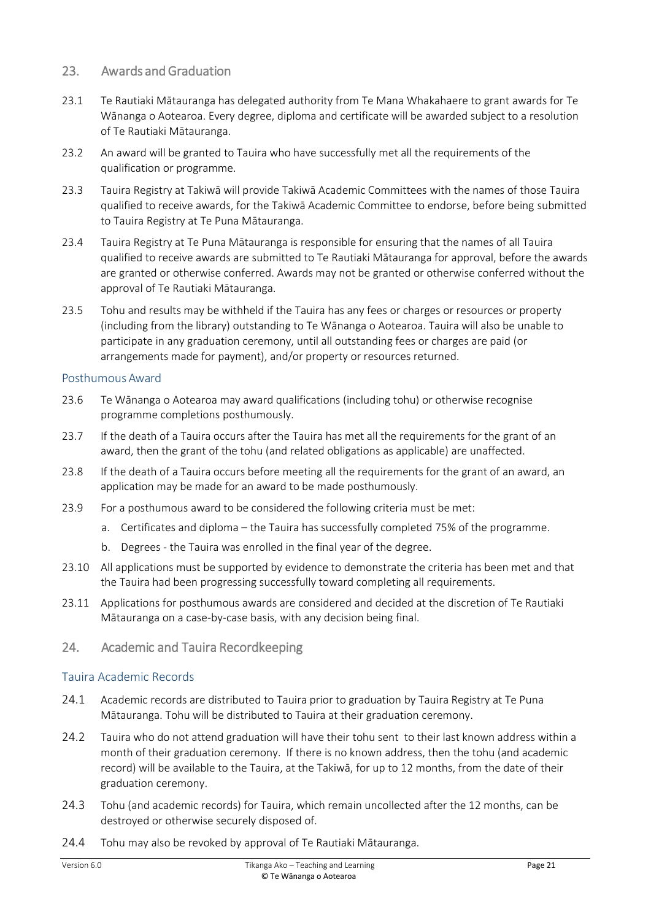#### <span id="page-20-0"></span>23. Awards and Graduation

- 23.1 Te Rautiaki Mātauranga has delegated authority from Te Mana Whakahaere to grant awards for Te Wānanga o Aotearoa. Every degree, diploma and certificate will be awarded subject to a resolution of Te Rautiaki Mātauranga.
- 23.2 An award will be granted to Tauira who have successfully met all the requirements of the qualification or programme.
- 23.3 Tauira Registry at Takiwā will provide Takiwā Academic Committees with the names of those Tauira qualified to receive awards, for the Takiwā Academic Committee to endorse, before being submitted to Tauira Registry at Te Puna Mātauranga.
- 23.4 Tauira Registry at Te Puna Mātauranga is responsible for ensuring that the names of all Tauira qualified to receive awards are submitted to Te Rautiaki Mātauranga for approval, before the awards are granted or otherwise conferred. Awards may not be granted or otherwise conferred without the approval of Te Rautiaki Mātauranga.
- 23.5 Tohu and results may be withheld if the Tauira has any fees or charges or resources or property (including from the library) outstanding to Te Wānanga o Aotearoa. Tauira will also be unable to participate in any graduation ceremony, until all outstanding fees or charges are paid (or arrangements made for payment), and/or property or resources returned.

#### <span id="page-20-1"></span>Posthumous Award

- 23.6 Te Wānanga o Aotearoa may award qualifications (including tohu) or otherwise recognise programme completions posthumously.
- 23.7 If the death of a Tauira occurs after the Tauira has met all the requirements for the grant of an award, then the grant of the tohu (and related obligations as applicable) are unaffected.
- 23.8 If the death of a Tauira occurs before meeting all the requirements for the grant of an award, an application may be made for an award to be made posthumously.
- 23.9 For a posthumous award to be considered the following criteria must be met:
	- a. Certificates and diploma the Tauira has successfully completed 75% of the programme.
	- b. Degrees the Tauira was enrolled in the final year of the degree.
- 23.10 All applications must be supported by evidence to demonstrate the criteria has been met and that the Tauira had been progressing successfully toward completing all requirements.
- 23.11 Applications for posthumous awards are considered and decided at the discretion of Te Rautiaki Mātauranga on a case-by-case basis, with any decision being final.
- <span id="page-20-2"></span>24. Academic and Tauira Recordkeeping

#### <span id="page-20-3"></span>Tauira Academic Records

- 24.1 Academic records are distributed to Tauira prior to graduation by Tauira Registry at Te Puna Mātauranga. Tohu will be distributed to Tauira at their graduation ceremony.
- 24.2 Tauira who do not attend graduation will have their tohu sent to their last known address within a month of their graduation ceremony. If there is no known address, then the tohu (and academic record) will be available to the Tauira, at the Takiwā, for up to 12 months, from the date of their graduation ceremony.
- 24.3 Tohu (and academic records) for Tauira, which remain uncollected after the 12 months, can be destroyed or otherwise securely disposed of.
- 24.4 Tohu may also be revoked by approval of Te Rautiaki Mātauranga.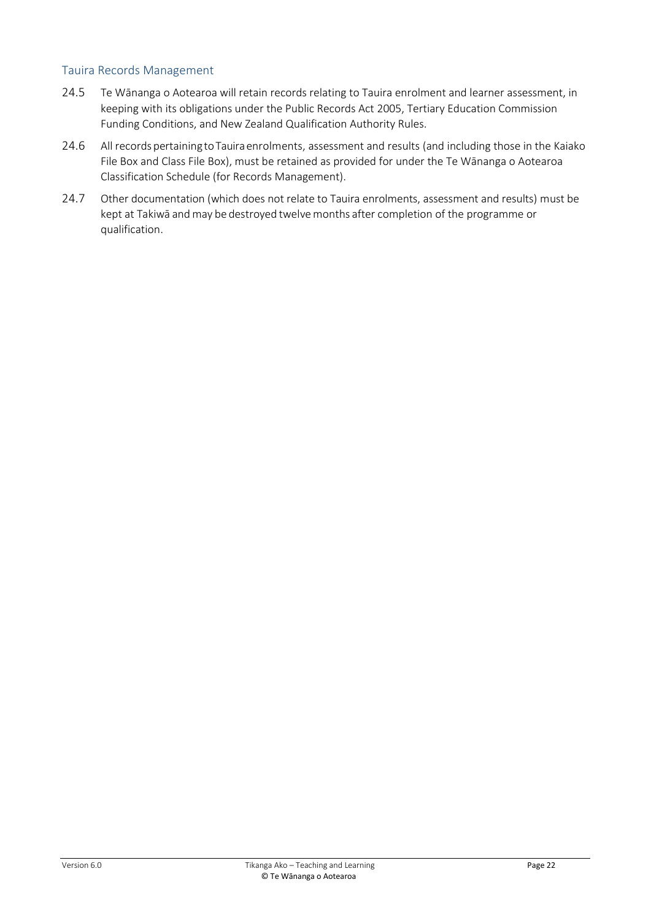#### <span id="page-21-0"></span>Tauira Records Management

- 24.5 Te Wānanga o Aotearoa will retain records relating to Tauira enrolment and learner assessment, in keeping with its obligations under the Public Records Act 2005, Tertiary Education Commission Funding Conditions, and New Zealand Qualification Authority Rules.
- 24.6 All records pertaining to Tauira enrolments, assessment and results (and including those in the Kaiako File Box and Class File Box), must be retained as provided for under the Te Wānanga o Aotearoa Classification Schedule (for Records Management).
- 24.7 Other documentation (which does not relate to Tauira enrolments, assessment and results) must be kept at Takiwā and may be destroyed twelvemonths after completion of the programme or qualification.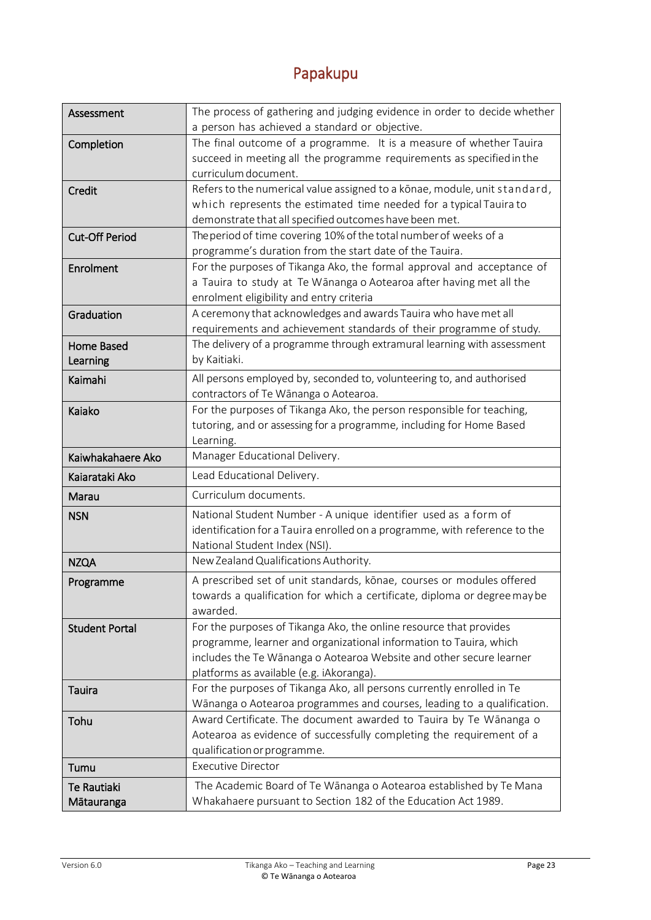## Papakupu

<span id="page-22-0"></span>

| Assessment            | The process of gathering and judging evidence in order to decide whether                                                                  |  |  |  |
|-----------------------|-------------------------------------------------------------------------------------------------------------------------------------------|--|--|--|
|                       | a person has achieved a standard or objective.                                                                                            |  |  |  |
| Completion            | The final outcome of a programme. It is a measure of whether Tauira                                                                       |  |  |  |
|                       | succeed in meeting all the programme requirements as specified in the                                                                     |  |  |  |
|                       | curriculum document.                                                                                                                      |  |  |  |
| Credit                | Refers to the numerical value assigned to a konae, module, unit standard,                                                                 |  |  |  |
|                       | which represents the estimated time needed for a typical Tauira to                                                                        |  |  |  |
|                       | demonstrate that all specified outcomes have been met.                                                                                    |  |  |  |
| <b>Cut-Off Period</b> | The period of time covering 10% of the total number of weeks of a                                                                         |  |  |  |
|                       | programme's duration from the start date of the Tauira.                                                                                   |  |  |  |
| Enrolment             | For the purposes of Tikanga Ako, the formal approval and acceptance of                                                                    |  |  |  |
|                       | a Tauira to study at Te Wānanga o Aotearoa after having met all the                                                                       |  |  |  |
|                       | enrolment eligibility and entry criteria<br>A ceremony that acknowledges and awards Tauira who have met all                               |  |  |  |
| Graduation            | requirements and achievement standards of their programme of study.                                                                       |  |  |  |
| Home Based            | The delivery of a programme through extramural learning with assessment                                                                   |  |  |  |
| Learning              | by Kaitiaki.                                                                                                                              |  |  |  |
|                       | All persons employed by, seconded to, volunteering to, and authorised                                                                     |  |  |  |
| Kaimahi               | contractors of Te Wānanga o Aotearoa.                                                                                                     |  |  |  |
| Kaiako                | For the purposes of Tikanga Ako, the person responsible for teaching,                                                                     |  |  |  |
|                       | tutoring, and or assessing for a programme, including for Home Based                                                                      |  |  |  |
|                       | Learning.                                                                                                                                 |  |  |  |
| Kaiwhakahaere Ako     | Manager Educational Delivery.                                                                                                             |  |  |  |
| Kaiarataki Ako        | Lead Educational Delivery.                                                                                                                |  |  |  |
| Marau                 | Curriculum documents.                                                                                                                     |  |  |  |
| <b>NSN</b>            | National Student Number - A unique identifier used as a form of                                                                           |  |  |  |
|                       | identification for a Tauira enrolled on a programme, with reference to the                                                                |  |  |  |
|                       | National Student Index (NSI).                                                                                                             |  |  |  |
| <b>NZQA</b>           | New Zealand Qualifications Authority.                                                                                                     |  |  |  |
| Programme             | A prescribed set of unit standards, konae, courses or modules offered                                                                     |  |  |  |
|                       | towards a qualification for which a certificate, diploma or degree may be                                                                 |  |  |  |
|                       | awarded.                                                                                                                                  |  |  |  |
| <b>Student Portal</b> | For the purposes of Tikanga Ako, the online resource that provides                                                                        |  |  |  |
|                       | programme, learner and organizational information to Tauira, which                                                                        |  |  |  |
|                       | includes the Te Wānanga o Aotearoa Website and other secure learner                                                                       |  |  |  |
|                       | platforms as available (e.g. iAkoranga).                                                                                                  |  |  |  |
| <b>Tauira</b>         | For the purposes of Tikanga Ako, all persons currently enrolled in Te                                                                     |  |  |  |
|                       | Wānanga o Aotearoa programmes and courses, leading to a qualification.                                                                    |  |  |  |
| Tohu                  | Award Certificate. The document awarded to Tauira by Te Wānanga o<br>Aotearoa as evidence of successfully completing the requirement of a |  |  |  |
|                       | qualification or programme.                                                                                                               |  |  |  |
| Tumu                  | <b>Executive Director</b>                                                                                                                 |  |  |  |
|                       |                                                                                                                                           |  |  |  |
| Te Rautiaki           | The Academic Board of Te Wānanga o Aotearoa established by Te Mana<br>Whakahaere pursuant to Section 182 of the Education Act 1989.       |  |  |  |
| Mātauranga            |                                                                                                                                           |  |  |  |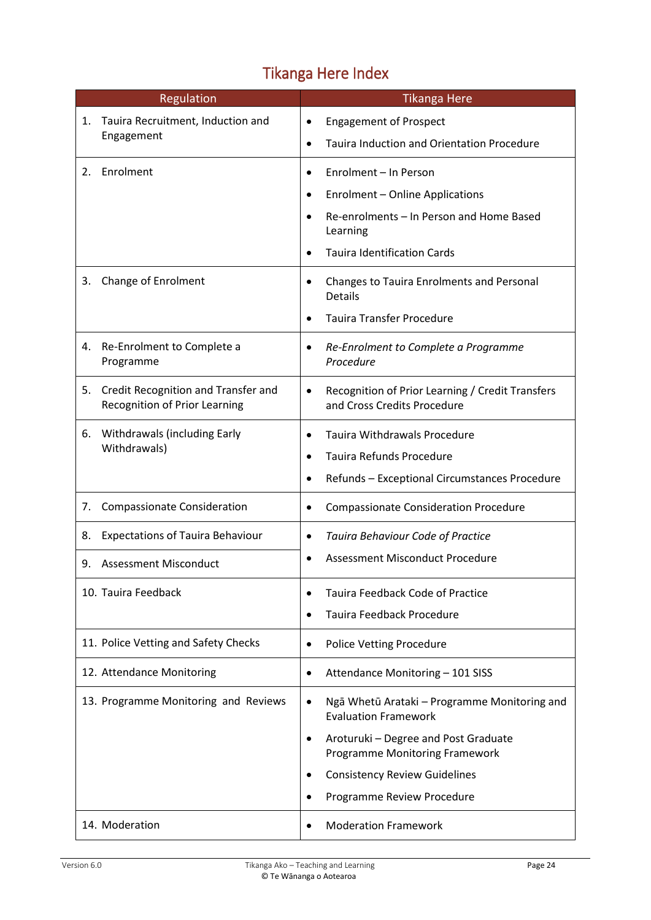# Tikanga Here Index

<span id="page-23-0"></span>

| <b>Regulation</b>                                  |                                                                      | <b>Tikanga Here</b>                                            |                                                                                 |  |
|----------------------------------------------------|----------------------------------------------------------------------|----------------------------------------------------------------|---------------------------------------------------------------------------------|--|
| Tauira Recruitment, Induction and<br>1.            |                                                                      | $\bullet$                                                      | <b>Engagement of Prospect</b>                                                   |  |
|                                                    | Engagement                                                           | <b>Tauira Induction and Orientation Procedure</b><br>$\bullet$ |                                                                                 |  |
| 2.                                                 | Enrolment                                                            | Enrolment - In Person<br>$\bullet$                             |                                                                                 |  |
|                                                    |                                                                      |                                                                | <b>Enrolment - Online Applications</b>                                          |  |
|                                                    |                                                                      |                                                                | Re-enrolments - In Person and Home Based<br>Learning                            |  |
|                                                    |                                                                      |                                                                | <b>Tauira Identification Cards</b>                                              |  |
| 3.                                                 | Change of Enrolment                                                  | ٠                                                              | Changes to Tauira Enrolments and Personal<br>Details                            |  |
|                                                    |                                                                      |                                                                | <b>Tauira Transfer Procedure</b>                                                |  |
| 4.                                                 | Re-Enrolment to Complete a<br>Programme                              | $\bullet$                                                      | Re-Enrolment to Complete a Programme<br>Procedure                               |  |
| 5.                                                 | Credit Recognition and Transfer and<br>Recognition of Prior Learning | $\bullet$                                                      | Recognition of Prior Learning / Credit Transfers<br>and Cross Credits Procedure |  |
| Withdrawals (including Early<br>6.<br>Withdrawals) |                                                                      | $\bullet$                                                      | Tauira Withdrawals Procedure                                                    |  |
|                                                    |                                                                      | $\bullet$                                                      | <b>Tauira Refunds Procedure</b>                                                 |  |
|                                                    |                                                                      | $\bullet$                                                      | Refunds - Exceptional Circumstances Procedure                                   |  |
| 7.                                                 | <b>Compassionate Consideration</b>                                   |                                                                | <b>Compassionate Consideration Procedure</b>                                    |  |
| 8.                                                 | <b>Expectations of Tauira Behaviour</b>                              | $\bullet$                                                      | Tauira Behaviour Code of Practice                                               |  |
| 9.                                                 | <b>Assessment Misconduct</b>                                         | Assessment Misconduct Procedure<br>$\bullet$                   |                                                                                 |  |
|                                                    | 10. Tauira Feedback                                                  |                                                                | Tauira Feedback Code of Practice                                                |  |
|                                                    |                                                                      |                                                                | Tauira Feedback Procedure                                                       |  |
|                                                    | 11. Police Vetting and Safety Checks                                 | $\bullet$                                                      | <b>Police Vetting Procedure</b>                                                 |  |
|                                                    | 12. Attendance Monitoring                                            | $\bullet$                                                      | Attendance Monitoring - 101 SISS                                                |  |
|                                                    | 13. Programme Monitoring and Reviews                                 | $\bullet$                                                      | Ngā Whetū Arataki - Programme Monitoring and<br><b>Evaluation Framework</b>     |  |
|                                                    |                                                                      | $\bullet$                                                      | Aroturuki - Degree and Post Graduate<br><b>Programme Monitoring Framework</b>   |  |
|                                                    |                                                                      |                                                                | <b>Consistency Review Guidelines</b>                                            |  |
|                                                    |                                                                      |                                                                | Programme Review Procedure                                                      |  |
|                                                    | 14. Moderation                                                       |                                                                | <b>Moderation Framework</b>                                                     |  |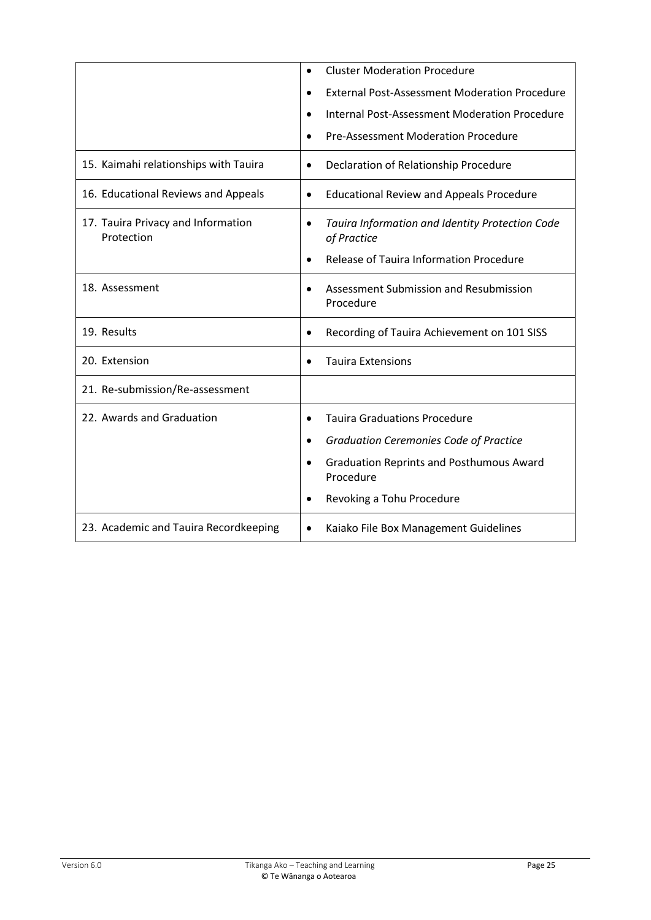|                                                  | <b>Cluster Moderation Procedure</b><br>$\bullet$                            |  |
|--------------------------------------------------|-----------------------------------------------------------------------------|--|
|                                                  | <b>External Post-Assessment Moderation Procedure</b><br>$\bullet$           |  |
|                                                  | <b>Internal Post-Assessment Moderation Procedure</b><br>$\bullet$           |  |
|                                                  | <b>Pre-Assessment Moderation Procedure</b>                                  |  |
| 15. Kaimahi relationships with Tauira            | Declaration of Relationship Procedure<br>$\bullet$                          |  |
| 16. Educational Reviews and Appeals              | <b>Educational Review and Appeals Procedure</b><br>$\bullet$                |  |
| 17. Tauira Privacy and Information<br>Protection | Tauira Information and Identity Protection Code<br>$\bullet$<br>of Practice |  |
|                                                  | Release of Tauira Information Procedure                                     |  |
| 18. Assessment                                   | Assessment Submission and Resubmission<br>$\bullet$<br>Procedure            |  |
| 19. Results                                      | Recording of Tauira Achievement on 101 SISS                                 |  |
| 20. Extension                                    | <b>Tauira Extensions</b>                                                    |  |
| 21. Re-submission/Re-assessment                  |                                                                             |  |
| 22. Awards and Graduation                        | <b>Tauira Graduations Procedure</b><br>$\bullet$                            |  |
|                                                  | <b>Graduation Ceremonies Code of Practice</b><br>٠                          |  |
|                                                  | <b>Graduation Reprints and Posthumous Award</b><br>$\bullet$<br>Procedure   |  |
|                                                  | Revoking a Tohu Procedure                                                   |  |
| 23. Academic and Tauira Recordkeeping            | Kaiako File Box Management Guidelines<br>$\bullet$                          |  |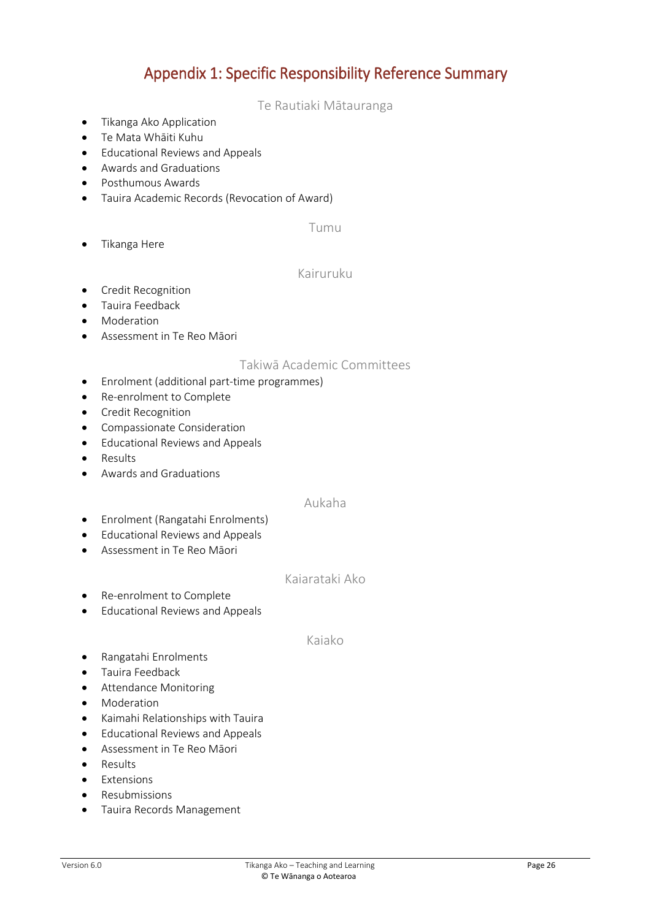### Appendix 1: Specific Responsibility Reference Summary

#### Te Rautiaki Mātauranga

- <span id="page-25-1"></span><span id="page-25-0"></span>• Tikanga Ako Application
- Te Mata Whāiti Kuhu
- Educational Reviews and Appeals
- Awards and Graduations
- Posthumous Awards
- <span id="page-25-2"></span>Tauira Academic Records (Revocation of Award)

#### Tumu

<span id="page-25-3"></span>• Tikanga Here

#### Kairuruku

- **•** Credit Recognition
- Tauira Feedback
- Moderation
- <span id="page-25-4"></span>Assessment in Te Reo Māori

#### Takiwā Academic Committees

- Enrolment (additional part-time programmes)
- Re-enrolment to Complete
- Credit Recognition
- Compassionate Consideration
- Educational Reviews and Appeals
- Results
- <span id="page-25-5"></span>Awards and Graduations

#### Aukaha

- Enrolment (Rangatahi Enrolments)
- Educational Reviews and Appeals
- <span id="page-25-6"></span>Assessment in Te Reo Māori

#### Kaiarataki Ako

- Re-enrolment to Complete
- <span id="page-25-7"></span>Educational Reviews and Appeals

#### Kaiako

- Rangatahi Enrolments
- Tauira Feedback
- **•** Attendance Monitoring
- Moderation
- Kaimahi Relationships with Tauira
- **•** Educational Reviews and Appeals
- Assessment in Te Reo Māori
- Results
- Extensions
- Resubmissions
- Tauira Records Management